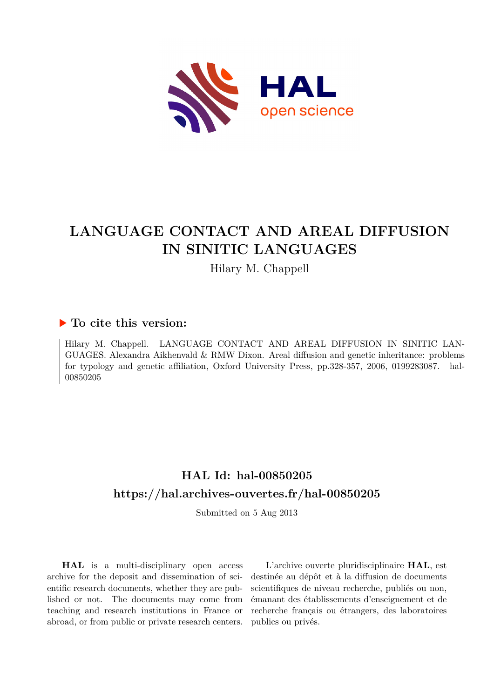

# **LANGUAGE CONTACT AND AREAL DIFFUSION IN SINITIC LANGUAGES**

Hilary M. Chappell

### **To cite this version:**

Hilary M. Chappell. LANGUAGE CONTACT AND AREAL DIFFUSION IN SINITIC LAN-GUAGES. Alexandra Aikhenvald & RMW Dixon. Areal diffusion and genetic inheritance: problems for typology and genetic affiliation, Oxford University Press, pp.328-357, 2006, 0199283087. hal-00850205ff

## **HAL Id: hal-00850205 <https://hal.archives-ouvertes.fr/hal-00850205>**

Submitted on 5 Aug 2013

**HAL** is a multi-disciplinary open access archive for the deposit and dissemination of scientific research documents, whether they are published or not. The documents may come from teaching and research institutions in France or abroad, or from public or private research centers.

L'archive ouverte pluridisciplinaire **HAL**, est destinée au dépôt et à la diffusion de documents scientifiques de niveau recherche, publiés ou non, émanant des établissements d'enseignement et de recherche français ou étrangers, des laboratoires publics ou privés.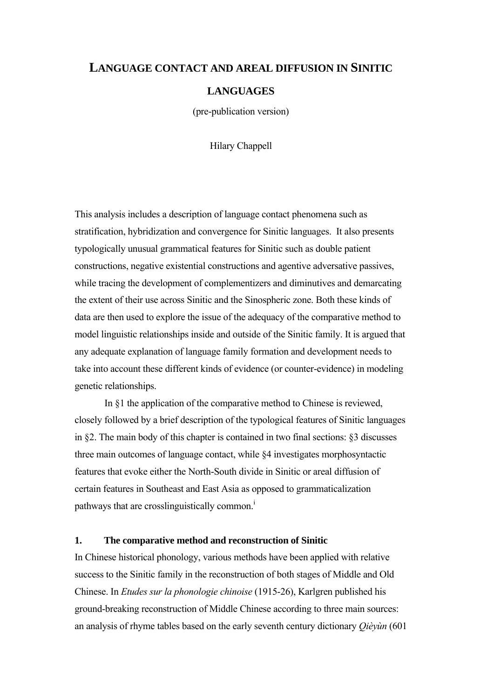#### **LANGUAGE CONTACT AND AREAL DIFFUSION IN SINITIC**

#### **LANGUAGES**

(pre-publication version)

Hilary Chappell

This analysis includes a description of language contact phenomena such as stratification, hybridization and convergence for Sinitic languages. It also presents typologically unusual grammatical features for Sinitic such as double patient constructions, negative existential constructions and agentive adversative passives, while tracing the development of complementizers and diminutives and demarcating the extent of their use across Sinitic and the Sinospheric zone. Both these kinds of data are then used to explore the issue of the adequacy of the comparative method to model linguistic relationships inside and outside of the Sinitic family. It is argued that any adequate explanation of language family formation and development needs to take into account these different kinds of evidence (or counter-evidence) in modeling genetic relationships.

In §1 the application of the comparative method to Chinese is reviewed, closely followed by a brief description of the typological features of Sinitic languages in §2. The main body of this chapter is contained in two final sections: §3 discusses three main outcomes of language contact, while §4 investigates morphosyntactic features that evoke either the North-South divide in Sinitic or areal diffusion of certain features in Southeast and East Asia as opposed to grammaticalization pathways that are crosslinguistically common.<sup>i</sup>

#### **1. The comparative method and reconstruction of Sinitic**

In Chinese historical phonology, various methods have been applied with relative success to the Sinitic family in the reconstruction of both stages of Middle and Old Chinese. In *Etudes sur la phonologie chinoise* (1915-26), Karlgren published his ground-breaking reconstruction of Middle Chinese according to three main sources: an analysis of rhyme tables based on the early seventh century dictionary *Qièyùn* (601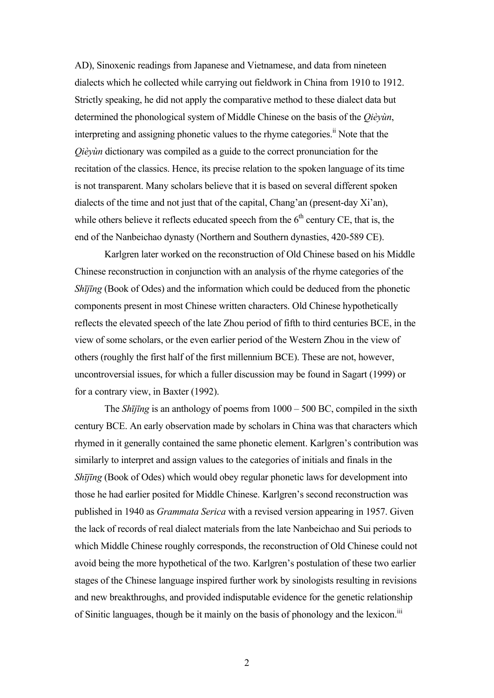AD), Sinoxenic readings from Japanese and Vietnamese, and data from nineteen dialects which he collected while carrying out fieldwork in China from 1910 to 1912. Strictly speaking, he did not apply the comparative method to these dialect data but determined the phonological system of Middle Chinese on the basis of the *Qièyùn*, interpreting and assigning phonetic values to the rhyme categories.<sup>ii</sup> Note that the *Qièyùn* dictionary was compiled as a guide to the correct pronunciation for the recitation of the classics. Hence, its precise relation to the spoken language of its time is not transparent. Many scholars believe that it is based on several different spoken dialects of the time and not just that of the capital, Chang'an (present-day Xi'an), while others believe it reflects educated speech from the  $6<sup>th</sup>$  century CE, that is, the end of the Nanbeichao dynasty (Northern and Southern dynasties, 420-589 CE).

Karlgren later worked on the reconstruction of Old Chinese based on his Middle Chinese reconstruction in conjunction with an analysis of the rhyme categories of the *Shījīng* (Book of Odes) and the information which could be deduced from the phonetic components present in most Chinese written characters. Old Chinese hypothetically reflects the elevated speech of the late Zhou period of fifth to third centuries BCE, in the view of some scholars, or the even earlier period of the Western Zhou in the view of others (roughly the first half of the first millennium BCE). These are not, however, uncontroversial issues, for which a fuller discussion may be found in Sagart (1999) or for a contrary view, in Baxter (1992).

The *Shījīng* is an anthology of poems from 1000 – 500 BC, compiled in the sixth century BCE. An early observation made by scholars in China was that characters which rhymed in it generally contained the same phonetic element. Karlgren's contribution was similarly to interpret and assign values to the categories of initials and finals in the *Shījīng* (Book of Odes) which would obey regular phonetic laws for development into those he had earlier posited for Middle Chinese. Karlgren's second reconstruction was published in 1940 as *Grammata Serica* with a revised version appearing in 1957. Given the lack of records of real dialect materials from the late Nanbeichao and Sui periods to which Middle Chinese roughly corresponds, the reconstruction of Old Chinese could not avoid being the more hypothetical of the two. Karlgren's postulation of these two earlier stages of the Chinese language inspired further work by sinologists resulting in revisions and new breakthroughs, and provided indisputable evidence for the genetic relationship of Sinitic languages, though be it mainly on the basis of phonology and the lexicon.<sup>iii</sup>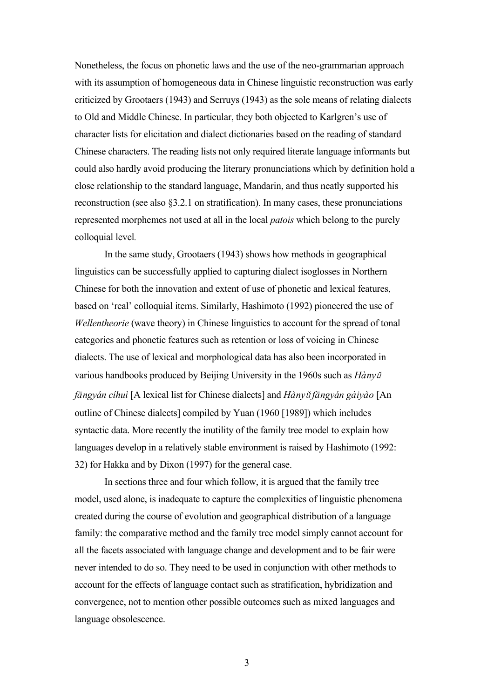Nonetheless, the focus on phonetic laws and the use of the neo-grammarian approach with its assumption of homogeneous data in Chinese linguistic reconstruction was early criticized by Grootaers (1943) and Serruys (1943) as the sole means of relating dialects to Old and Middle Chinese. In particular, they both objected to Karlgren's use of character lists for elicitation and dialect dictionaries based on the reading of standard Chinese characters. The reading lists not only required literate language informants but could also hardly avoid producing the literary pronunciations which by definition hold a close relationship to the standard language, Mandarin, and thus neatly supported his reconstruction (see also §3.2.1 on stratification). In many cases, these pronunciations represented morphemes not used at all in the local *patois* which belong to the purely colloquial level*.*

In the same study, Grootaers (1943) shows how methods in geographical linguistics can be successfully applied to capturing dialect isoglosses in Northern Chinese for both the innovation and extent of use of phonetic and lexical features, based on 'real' colloquial items. Similarly, Hashimoto (1992) pioneered the use of *Wellentheorie* (wave theory) in Chinese linguistics to account for the spread of tonal categories and phonetic features such as retention or loss of voicing in Chinese dialects. The use of lexical and morphological data has also been incorporated in various handbooks produced by Beijing University in the 1960s such as *Hàny*<sup>ǔ</sup> *fāngyán cíhuì* [A lexical list for Chinese dialects] and *Hàny*ǔ *fāngyán gàiyào* [An outline of Chinese dialects] compiled by Yuan (1960 [1989]) which includes syntactic data. More recently the inutility of the family tree model to explain how languages develop in a relatively stable environment is raised by Hashimoto (1992: 32) for Hakka and by Dixon (1997) for the general case.

In sections three and four which follow, it is argued that the family tree model, used alone, is inadequate to capture the complexities of linguistic phenomena created during the course of evolution and geographical distribution of a language family: the comparative method and the family tree model simply cannot account for all the facets associated with language change and development and to be fair were never intended to do so. They need to be used in conjunction with other methods to account for the effects of language contact such as stratification, hybridization and convergence, not to mention other possible outcomes such as mixed languages and language obsolescence.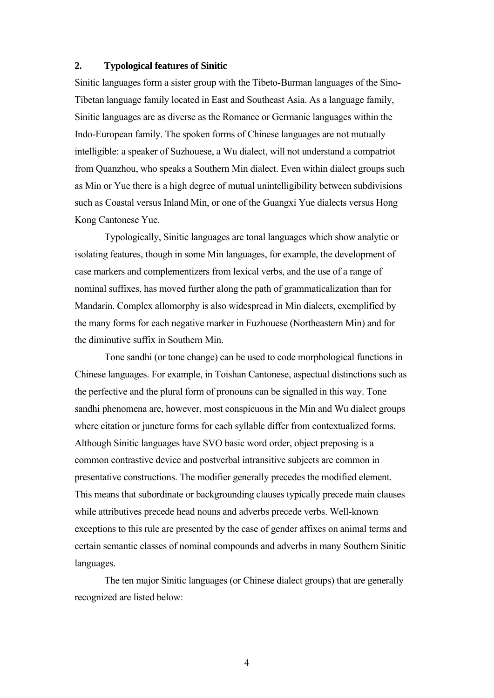#### **2. Typological features of Sinitic**

Sinitic languages form a sister group with the Tibeto-Burman languages of the Sino-Tibetan language family located in East and Southeast Asia. As a language family, Sinitic languages are as diverse as the Romance or Germanic languages within the Indo-European family. The spoken forms of Chinese languages are not mutually intelligible: a speaker of Suzhouese, a Wu dialect, will not understand a compatriot from Quanzhou, who speaks a Southern Min dialect. Even within dialect groups such as Min or Yue there is a high degree of mutual unintelligibility between subdivisions such as Coastal versus Inland Min, or one of the Guangxi Yue dialects versus Hong Kong Cantonese Yue.

Typologically, Sinitic languages are tonal languages which show analytic or isolating features, though in some Min languages, for example, the development of case markers and complementizers from lexical verbs, and the use of a range of nominal suffixes, has moved further along the path of grammaticalization than for Mandarin. Complex allomorphy is also widespread in Min dialects, exemplified by the many forms for each negative marker in Fuzhouese (Northeastern Min) and for the diminutive suffix in Southern Min.

Tone sandhi (or tone change) can be used to code morphological functions in Chinese languages. For example, in Toishan Cantonese, aspectual distinctions such as the perfective and the plural form of pronouns can be signalled in this way. Tone sandhi phenomena are, however, most conspicuous in the Min and Wu dialect groups where citation or juncture forms for each syllable differ from contextualized forms. Although Sinitic languages have SVO basic word order, object preposing is a common contrastive device and postverbal intransitive subjects are common in presentative constructions. The modifier generally precedes the modified element. This means that subordinate or backgrounding clauses typically precede main clauses while attributives precede head nouns and adverbs precede verbs. Well-known exceptions to this rule are presented by the case of gender affixes on animal terms and certain semantic classes of nominal compounds and adverbs in many Southern Sinitic languages.

The ten major Sinitic languages (or Chinese dialect groups) that are generally recognized are listed below: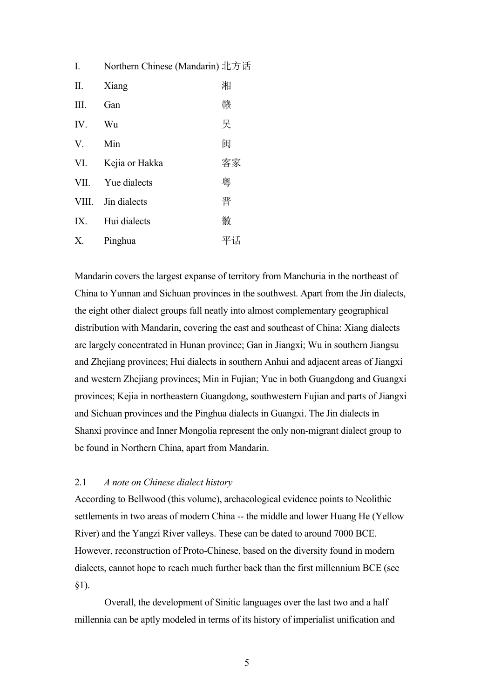| $\mathbf{I}$ | Northern Chinese (Mandarin) 北方话 |    |
|--------------|---------------------------------|----|
| П.           | Xiang                           | 湘  |
| Ш.           | Gan                             | 赣  |
| IV.          | Wu                              | 吴  |
| V.           | Min                             | 闽  |
|              | VI. Kejia or Hakka              | 客家 |
|              | VII. Yue dialects               | 粵  |
|              | VIII. Jin dialects              | 晋  |
|              | IX. Hui dialects                | 徽  |
|              | X. Pinghua                      | 平话 |

Mandarin covers the largest expanse of territory from Manchuria in the northeast of China to Yunnan and Sichuan provinces in the southwest. Apart from the Jin dialects, the eight other dialect groups fall neatly into almost complementary geographical distribution with Mandarin, covering the east and southeast of China: Xiang dialects are largely concentrated in Hunan province; Gan in Jiangxi; Wu in southern Jiangsu and Zhejiang provinces; Hui dialects in southern Anhui and adjacent areas of Jiangxi and western Zhejiang provinces; Min in Fujian; Yue in both Guangdong and Guangxi provinces; Kejia in northeastern Guangdong, southwestern Fujian and parts of Jiangxi and Sichuan provinces and the Pinghua dialects in Guangxi. The Jin dialects in Shanxi province and Inner Mongolia represent the only non-migrant dialect group to be found in Northern China, apart from Mandarin.

#### 2.1 *A note on Chinese dialect history*

According to Bellwood (this volume), archaeological evidence points to Neolithic settlements in two areas of modern China -- the middle and lower Huang He (Yellow River) and the Yangzi River valleys. These can be dated to around 7000 BCE. However, reconstruction of Proto-Chinese, based on the diversity found in modern dialects, cannot hope to reach much further back than the first millennium BCE (see §1).

Overall, the development of Sinitic languages over the last two and a half millennia can be aptly modeled in terms of its history of imperialist unification and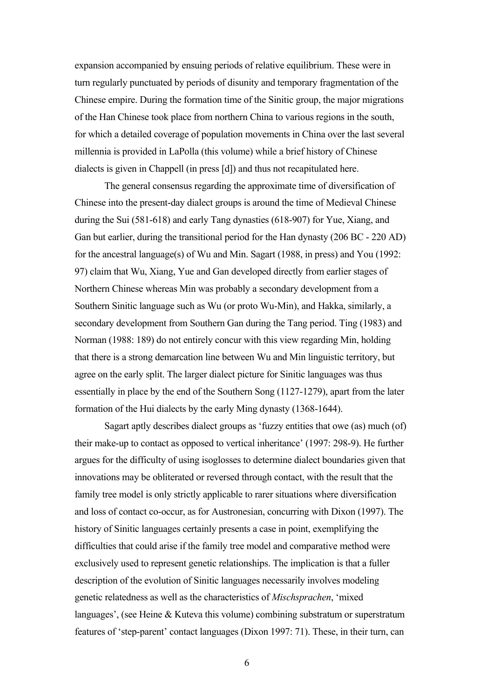expansion accompanied by ensuing periods of relative equilibrium. These were in turn regularly punctuated by periods of disunity and temporary fragmentation of the Chinese empire. During the formation time of the Sinitic group, the major migrations of the Han Chinese took place from northern China to various regions in the south, for which a detailed coverage of population movements in China over the last several millennia is provided in LaPolla (this volume) while a brief history of Chinese dialects is given in Chappell (in press [d]) and thus not recapitulated here.

The general consensus regarding the approximate time of diversification of Chinese into the present-day dialect groups is around the time of Medieval Chinese during the Sui (581-618) and early Tang dynasties (618-907) for Yue, Xiang, and Gan but earlier, during the transitional period for the Han dynasty (206 BC - 220 AD) for the ancestral language(s) of Wu and Min. Sagart (1988, in press) and You (1992: 97) claim that Wu, Xiang, Yue and Gan developed directly from earlier stages of Northern Chinese whereas Min was probably a secondary development from a Southern Sinitic language such as Wu (or proto Wu-Min), and Hakka, similarly, a secondary development from Southern Gan during the Tang period. Ting (1983) and Norman (1988: 189) do not entirely concur with this view regarding Min, holding that there is a strong demarcation line between Wu and Min linguistic territory, but agree on the early split. The larger dialect picture for Sinitic languages was thus essentially in place by the end of the Southern Song (1127-1279), apart from the later formation of the Hui dialects by the early Ming dynasty (1368-1644).

Sagart aptly describes dialect groups as 'fuzzy entities that owe (as) much (of) their make-up to contact as opposed to vertical inheritance' (1997: 298-9). He further argues for the difficulty of using isoglosses to determine dialect boundaries given that innovations may be obliterated or reversed through contact, with the result that the family tree model is only strictly applicable to rarer situations where diversification and loss of contact co-occur, as for Austronesian, concurring with Dixon (1997). The history of Sinitic languages certainly presents a case in point, exemplifying the difficulties that could arise if the family tree model and comparative method were exclusively used to represent genetic relationships. The implication is that a fuller description of the evolution of Sinitic languages necessarily involves modeling genetic relatedness as well as the characteristics of *Mischsprachen*, 'mixed languages', (see Heine & Kuteva this volume) combining substratum or superstratum features of 'step-parent' contact languages (Dixon 1997: 71). These, in their turn, can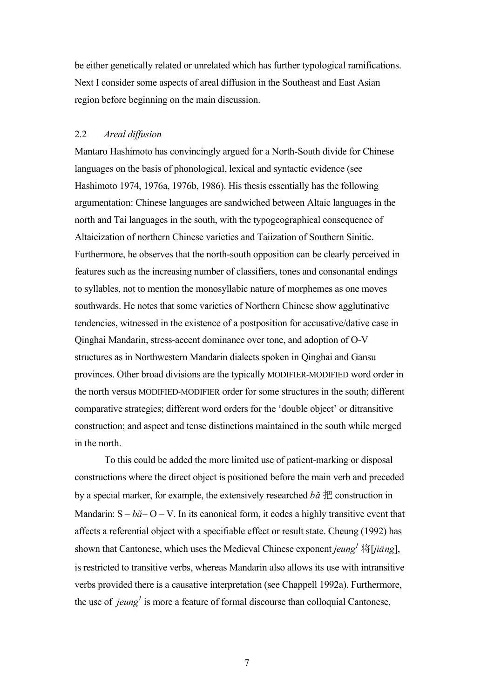be either genetically related or unrelated which has further typological ramifications. Next I consider some aspects of areal diffusion in the Southeast and East Asian region before beginning on the main discussion.

#### 2.2 *Areal diffusion*

Mantaro Hashimoto has convincingly argued for a North-South divide for Chinese languages on the basis of phonological, lexical and syntactic evidence (see Hashimoto 1974, 1976a, 1976b, 1986). His thesis essentially has the following argumentation: Chinese languages are sandwiched between Altaic languages in the north and Tai languages in the south, with the typogeographical consequence of Altaicization of northern Chinese varieties and Taiization of Southern Sinitic. Furthermore, he observes that the north-south opposition can be clearly perceived in features such as the increasing number of classifiers, tones and consonantal endings to syllables, not to mention the monosyllabic nature of morphemes as one moves southwards. He notes that some varieties of Northern Chinese show agglutinative tendencies, witnessed in the existence of a postposition for accusative/dative case in Qinghai Mandarin, stress-accent dominance over tone, and adoption of O-V structures as in Northwestern Mandarin dialects spoken in Qinghai and Gansu provinces. Other broad divisions are the typically MODIFIER-MODIFIED word order in the north versus MODIFIED-MODIFIER order for some structures in the south; different comparative strategies; different word orders for the 'double object' or ditransitive construction; and aspect and tense distinctions maintained in the south while merged in the north.

To this could be added the more limited use of patient-marking or disposal constructions where the direct object is positioned before the main verb and preceded by a special marker, for example, the extensively researched  $b\tilde{a}$   $\uparrow\!\!\!\!\perp$  construction in Mandarin:  $S - b\tilde{a} - O - V$ . In its canonical form, it codes a highly transitive event that affects a referential object with a specifiable effect or result state. Cheung (1992) has shown that Cantonese, which uses the Medieval Chinese exponent *jeung*<sup>1</sup> 将[*jiāng*], is restricted to transitive verbs, whereas Mandarin also allows its use with intransitive verbs provided there is a causative interpretation (see Chappell 1992a). Furthermore, the use of *jeung*<sup> $l$ </sup> is more a feature of formal discourse than colloquial Cantonese,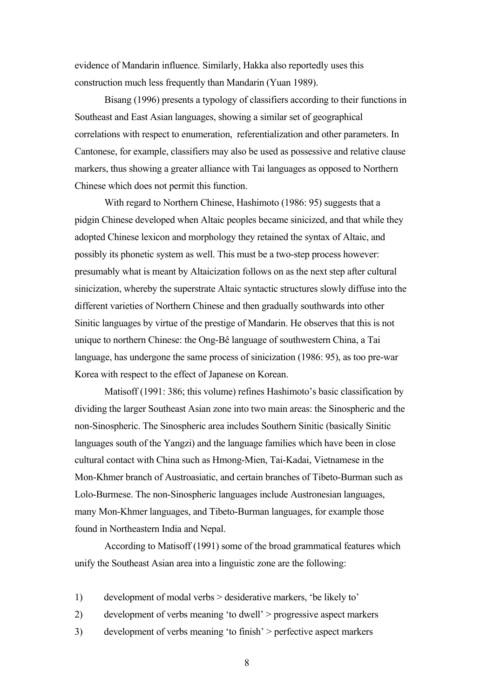evidence of Mandarin influence. Similarly, Hakka also reportedly uses this construction much less frequently than Mandarin (Yuan 1989).

Bisang (1996) presents a typology of classifiers according to their functions in Southeast and East Asian languages, showing a similar set of geographical correlations with respect to enumeration, referentialization and other parameters. In Cantonese, for example, classifiers may also be used as possessive and relative clause markers, thus showing a greater alliance with Tai languages as opposed to Northern Chinese which does not permit this function.

With regard to Northern Chinese, Hashimoto (1986: 95) suggests that a pidgin Chinese developed when Altaic peoples became sinicized, and that while they adopted Chinese lexicon and morphology they retained the syntax of Altaic, and possibly its phonetic system as well. This must be a two-step process however: presumably what is meant by Altaicization follows on as the next step after cultural sinicization, whereby the superstrate Altaic syntactic structures slowly diffuse into the different varieties of Northern Chinese and then gradually southwards into other Sinitic languages by virtue of the prestige of Mandarin. He observes that this is not unique to northern Chinese: the Ong-Bê language of southwestern China, a Tai language, has undergone the same process of sinicization (1986: 95), as too pre-war Korea with respect to the effect of Japanese on Korean.

Matisoff (1991: 386; this volume) refines Hashimoto's basic classification by dividing the larger Southeast Asian zone into two main areas: the Sinospheric and the non-Sinospheric. The Sinospheric area includes Southern Sinitic (basically Sinitic languages south of the Yangzi) and the language families which have been in close cultural contact with China such as Hmong-Mien, Tai-Kadai, Vietnamese in the Mon-Khmer branch of Austroasiatic, and certain branches of Tibeto-Burman such as Lolo-Burmese. The non-Sinospheric languages include Austronesian languages, many Mon-Khmer languages, and Tibeto-Burman languages, for example those found in Northeastern India and Nepal.

According to Matisoff (1991) some of the broad grammatical features which unify the Southeast Asian area into a linguistic zone are the following:

- 1) development of modal verbs > desiderative markers, 'be likely to'
- 2) development of verbs meaning 'to dwell' > progressive aspect markers
- 3) development of verbs meaning 'to finish' > perfective aspect markers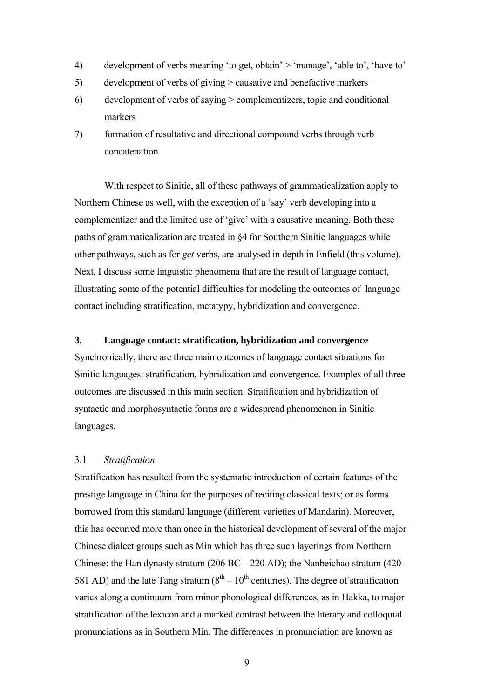- 4) development of verbs meaning 'to get, obtain' > 'manage', 'able to', 'have to'
- 5) development of verbs of giving > causative and benefactive markers
- 6) development of verbs of saying > complementizers, topic and conditional markers
- 7) formation of resultative and directional compound verbs through verb concatenation

With respect to Sinitic, all of these pathways of grammaticalization apply to Northern Chinese as well, with the exception of a 'say' verb developing into a complementizer and the limited use of 'give' with a causative meaning. Both these paths of grammaticalization are treated in §4 for Southern Sinitic languages while other pathways, such as for *get* verbs, are analysed in depth in Enfield (this volume). Next, I discuss some linguistic phenomena that are the result of language contact, illustrating some of the potential difficulties for modeling the outcomes of language contact including stratification, metatypy, hybridization and convergence.

#### **3. Language contact: stratification, hybridization and convergence**

Synchronically, there are three main outcomes of language contact situations for Sinitic languages: stratification, hybridization and convergence. Examples of all three outcomes are discussed in this main section. Stratification and hybridization of syntactic and morphosyntactic forms are a widespread phenomenon in Sinitic languages.

#### 3.1 *Stratification*

Stratification has resulted from the systematic introduction of certain features of the prestige language in China for the purposes of reciting classical texts; or as forms borrowed from this standard language (different varieties of Mandarin). Moreover, this has occurred more than once in the historical development of several of the major Chinese dialect groups such as Min which has three such layerings from Northern Chinese: the Han dynasty stratum (206 BC – 220 AD); the Nanbeichao stratum (420- 581 AD) and the late Tang stratum  $(8<sup>th</sup> – 10<sup>th</sup>$  centuries). The degree of stratification varies along a continuum from minor phonological differences, as in Hakka, to major stratification of the lexicon and a marked contrast between the literary and colloquial pronunciations as in Southern Min. The differences in pronunciation are known as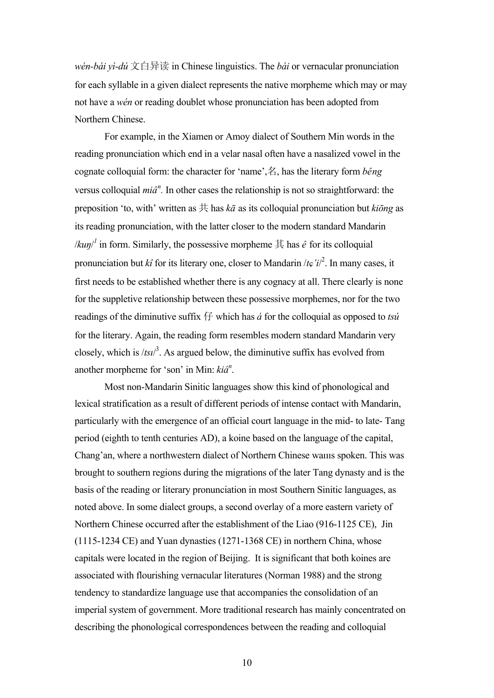*wén-bái yì-dú* 文白异读 in Chinese linguistics. The *bái* or vernacular pronunciation for each syllable in a given dialect represents the native morpheme which may or may not have a *wén* or reading doublet whose pronunciation has been adopted from Northern Chinese.

For example, in the Xiamen or Amoy dialect of Southern Min words in the reading pronunciation which end in a velar nasal often have a nasalized vowel in the cognate colloquial form: the character for 'name',名, has the literary form *bêng*  versus colloquial  $mi\hat{a}^n$ . In other cases the relationship is not so straightforward: the preposition 'to, with' written as 共 has *kā* as its colloquial pronunciation but *kiōng* as its reading pronunciation, with the latter closer to the modern standard Mandarin */kun*<sup> $l$ </sup> in form. Similarly, the possessive morpheme  $\frac{1}{x}$  has  $\hat{e}$  for its colloquial pronunciation but *kî* for its literary one, closer to Mandarin /*t*¢ '*i*/<sup>2</sup>. In many cases, it first needs to be established whether there is any cognacy at all. There clearly is none for the suppletive relationship between these possessive morphemes, nor for the two readings of the diminutive suffix 仔 which has *á* for the colloquial as opposed to *tsú* for the literary. Again, the reading form resembles modern standard Mandarin very closely, which is  $/ts\upsilon^3$ . As argued below, the diminutive suffix has evolved from another morpheme for 'son' in Min:  $ki\acute{a}^n$ .

Most non-Mandarin Sinitic languages show this kind of phonological and lexical stratification as a result of different periods of intense contact with Mandarin, particularly with the emergence of an official court language in the mid- to late- Tang period (eighth to tenth centuries AD), a koine based on the language of the capital, Chang'an, where a northwestern dialect of Northern Chinese waıııs spoken. This was brought to southern regions during the migrations of the later Tang dynasty and is the basis of the reading or literary pronunciation in most Southern Sinitic languages, as noted above. In some dialect groups, a second overlay of a more eastern variety of Northern Chinese occurred after the establishment of the Liao (916-1125 CE), Jin (1115-1234 CE) and Yuan dynasties (1271-1368 CE) in northern China, whose capitals were located in the region of Beijing. It is significant that both koines are associated with flourishing vernacular literatures (Norman 1988) and the strong tendency to standardize language use that accompanies the consolidation of an imperial system of government. More traditional research has mainly concentrated on describing the phonological correspondences between the reading and colloquial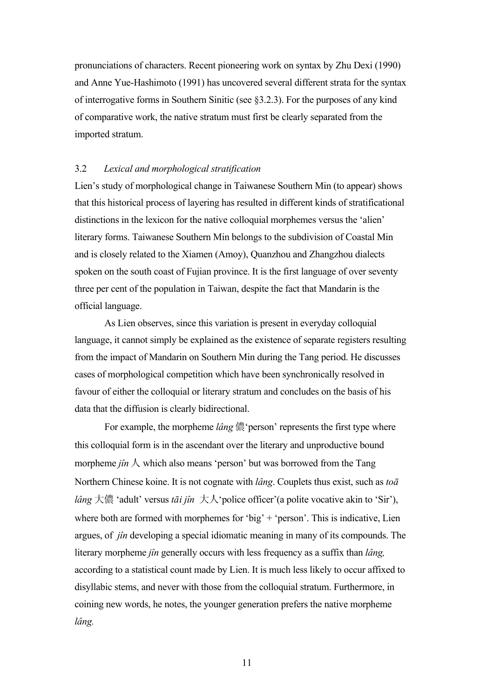pronunciations of characters. Recent pioneering work on syntax by Zhu Dexi (1990) and Anne Yue-Hashimoto (1991) has uncovered several different strata for the syntax of interrogative forms in Southern Sinitic (see §3.2.3). For the purposes of any kind of comparative work, the native stratum must first be clearly separated from the imported stratum.

#### 3.2 *Lexical and morphological stratification*

Lien's study of morphological change in Taiwanese Southern Min (to appear) shows that this historical process of layering has resulted in different kinds of stratificational distinctions in the lexicon for the native colloquial morphemes versus the 'alien' literary forms. Taiwanese Southern Min belongs to the subdivision of Coastal Min and is closely related to the Xiamen (Amoy), Quanzhou and Zhangzhou dialects spoken on the south coast of Fujian province. It is the first language of over seventy three per cent of the population in Taiwan, despite the fact that Mandarin is the official language.

As Lien observes, since this variation is present in everyday colloquial language, it cannot simply be explained as the existence of separate registers resulting from the impact of Mandarin on Southern Min during the Tang period. He discusses cases of morphological competition which have been synchronically resolved in favour of either the colloquial or literary stratum and concludes on the basis of his data that the diffusion is clearly bidirectional.

For example, the morpheme *lâng* 儂 'person' represents the first type where this colloquial form is in the ascendant over the literary and unproductive bound morpheme *jîn*  $\land$  which also means 'person' but was borrowed from the Tang Northern Chinese koine. It is not cognate with *lâng*. Couplets thus exist, such as *toā lâng* 大儂 'adult' versus *tāi jîn* 大人'police officer'(a polite vocative akin to 'Sir'), where both are formed with morphemes for 'big'  $+$  'person'. This is indicative, Lien argues, of *jîn* developing a special idiomatic meaning in many of its compounds. The literary morpheme *jîn* generally occurs with less frequency as a suffix than *lâng,* according to a statistical count made by Lien. It is much less likely to occur affixed to disyllabic stems, and never with those from the colloquial stratum. Furthermore, in coining new words, he notes, the younger generation prefers the native morpheme *lâng.*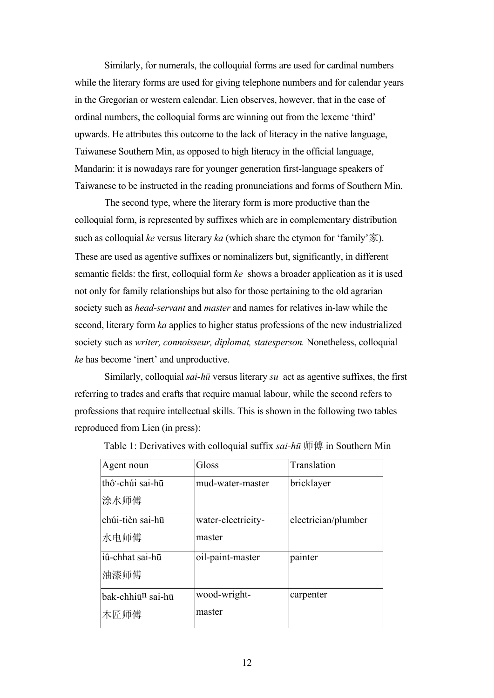Similarly, for numerals, the colloquial forms are used for cardinal numbers while the literary forms are used for giving telephone numbers and for calendar years in the Gregorian or western calendar. Lien observes, however, that in the case of ordinal numbers, the colloquial forms are winning out from the lexeme 'third' upwards. He attributes this outcome to the lack of literacy in the native language, Taiwanese Southern Min, as opposed to high literacy in the official language, Mandarin: it is nowadays rare for younger generation first-language speakers of Taiwanese to be instructed in the reading pronunciations and forms of Southern Min.

The second type, where the literary form is more productive than the colloquial form, is represented by suffixes which are in complementary distribution such as colloquial *ke* versus literary *ka* (which share the etymon for 'family'家). These are used as agentive suffixes or nominalizers but, significantly, in different semantic fields: the first, colloquial form *ke* shows a broader application as it is used not only for family relationships but also for those pertaining to the old agrarian society such as *head-servant* and *master* and names for relatives in-law while the second, literary form *ka* applies to higher status professions of the new industrialized society such as *writer, connoisseur, diplomat, statesperson.* Nonetheless, colloquial *ke* has become 'inert' and unproductive.

Similarly, colloquial *sai-hū* versus literary *su* act as agentive suffixes, the first referring to trades and crafts that require manual labour, while the second refers to professions that require intellectual skills. This is shown in the following two tables reproduced from Lien (in press):

| Agent noun                    | Gloss              | Translation         |
|-------------------------------|--------------------|---------------------|
| thô-chúi sai-hū               | mud-water-master   | bricklayer          |
| 涂水师傅                          |                    |                     |
| chúi-tièn sai-hū              | water-electricity- | electrician/plumber |
| 水电师傅                          | master             |                     |
| iû-chhat sai-hū               | oil-paint-master   | painter             |
| 油漆师傅                          |                    |                     |
| bak-chhiū <sup>n</sup> sai-hū | wood-wright-       | carpenter           |
| 木匠师傅                          | master             |                     |

Table 1: Derivatives with colloquial suffix *sai-hū* 师傅 in Southern Min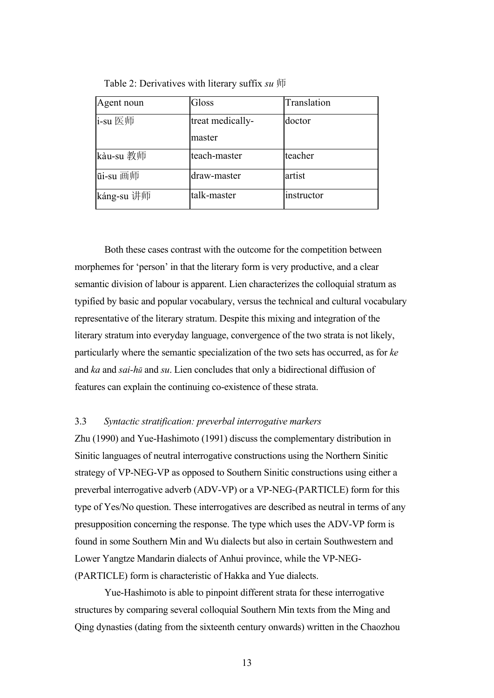| Agent noun | Gloss            | Translation |
|------------|------------------|-------------|
| i-su 医师    | treat medically- | doctor      |
|            | master           |             |
| kàu-su 教师  | teach-master     | teacher     |
| ūi-su 画师   | draw-master      | artist      |
| káng-su 讲师 | talk-master      | instructor  |

Table 2: Derivatives with literary suffix *su* 师

Both these cases contrast with the outcome for the competition between morphemes for 'person' in that the literary form is very productive, and a clear semantic division of labour is apparent. Lien characterizes the colloquial stratum as typified by basic and popular vocabulary, versus the technical and cultural vocabulary representative of the literary stratum. Despite this mixing and integration of the literary stratum into everyday language, convergence of the two strata is not likely, particularly where the semantic specialization of the two sets has occurred, as for *ke* and *ka* and *sai-hū* and *su*. Lien concludes that only a bidirectional diffusion of features can explain the continuing co-existence of these strata.

#### 3.3 *Syntactic stratification: preverbal interrogative markers*

Zhu (1990) and Yue-Hashimoto (1991) discuss the complementary distribution in Sinitic languages of neutral interrogative constructions using the Northern Sinitic strategy of VP-NEG-VP as opposed to Southern Sinitic constructions using either a preverbal interrogative adverb (ADV-VP) or a VP-NEG-(PARTICLE) form for this type of Yes/No question. These interrogatives are described as neutral in terms of any presupposition concerning the response. The type which uses the ADV-VP form is found in some Southern Min and Wu dialects but also in certain Southwestern and Lower Yangtze Mandarin dialects of Anhui province, while the VP-NEG- (PARTICLE) form is characteristic of Hakka and Yue dialects.

Yue-Hashimoto is able to pinpoint different strata for these interrogative structures by comparing several colloquial Southern Min texts from the Ming and Qing dynasties (dating from the sixteenth century onwards) written in the Chaozhou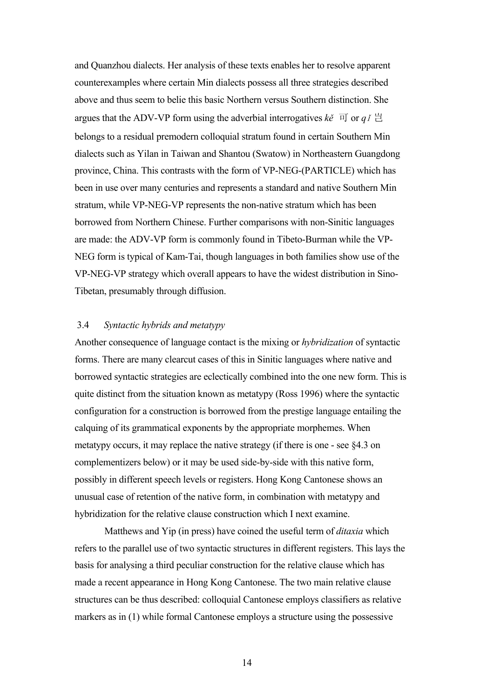and Quanzhou dialects. Her analysis of these texts enables her to resolve apparent counterexamples where certain Min dialects possess all three strategies described above and thus seem to belie this basic Northern versus Southern distinction. She argues that the ADV-VP form using the adverbial interrogatives  $k\check{e}$   $\overrightarrow{v}$  or  $q\check{i}$   $\stackrel{\text{def}}{=}$ belongs to a residual premodern colloquial stratum found in certain Southern Min dialects such as Yilan in Taiwan and Shantou (Swatow) in Northeastern Guangdong province, China. This contrasts with the form of VP-NEG-(PARTICLE) which has been in use over many centuries and represents a standard and native Southern Min stratum, while VP-NEG-VP represents the non-native stratum which has been borrowed from Northern Chinese. Further comparisons with non-Sinitic languages are made: the ADV-VP form is commonly found in Tibeto-Burman while the VP-NEG form is typical of Kam-Tai, though languages in both families show use of the VP-NEG-VP strategy which overall appears to have the widest distribution in Sino-Tibetan, presumably through diffusion.

#### 3.4 *Syntactic hybrids and metatypy*

Another consequence of language contact is the mixing or *hybridization* of syntactic forms. There are many clearcut cases of this in Sinitic languages where native and borrowed syntactic strategies are eclectically combined into the one new form. This is quite distinct from the situation known as metatypy (Ross 1996) where the syntactic configuration for a construction is borrowed from the prestige language entailing the calquing of its grammatical exponents by the appropriate morphemes. When metatypy occurs, it may replace the native strategy (if there is one - see §4.3 on complementizers below) or it may be used side-by-side with this native form, possibly in different speech levels or registers. Hong Kong Cantonese shows an unusual case of retention of the native form, in combination with metatypy and hybridization for the relative clause construction which I next examine.

Matthews and Yip (in press) have coined the useful term of *ditaxia* which refers to the parallel use of two syntactic structures in different registers. This lays the basis for analysing a third peculiar construction for the relative clause which has made a recent appearance in Hong Kong Cantonese. The two main relative clause structures can be thus described: colloquial Cantonese employs classifiers as relative markers as in (1) while formal Cantonese employs a structure using the possessive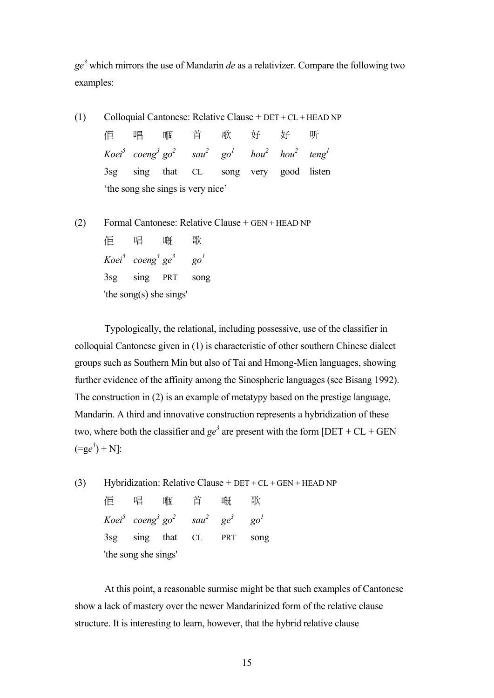*ge 3* which mirrors the use of Mandarin *de* as a relativizer. Compare the following two examples:

(1) Colloquial Cantonese: Relative Clause + DET + CL + HEAD NP

佢 唱 嗰 首 歌 好 好 听 *Koei5 coeng 3 go 2 sau 2 go*  $h\omega^2$  *hou*<sup>2</sup>  *teng1* 3sg sing that CL song very good listen 'the song she sings is very nice'

(2) Formal Cantonese: Relative Clause + GEN + HEAD NP

佢 唱 嘅 歌 *Koei5 coeng 3 ge 3 go 1* 3sg sing PRT song 'the song(s) she sings'

Typologically, the relational, including possessive, use of the classifier in colloquial Cantonese given in (1) is characteristic of other southern Chinese dialect groups such as Southern Min but also of Tai and Hmong-Mien languages, showing further evidence of the affinity among the Sinospheric languages (see Bisang 1992). The construction in (2) is an example of metatypy based on the prestige language, Mandarin. A third and innovative construction represents a hybridization of these two, where both the classifier and  $ge^3$  are present with the form [DET + CL + GEN  $(=ge^3) + N$ ]:

(3) Hybridization: Relative Clause +  $DET + CL + GEN + HEAD NP$ 

| 佢 | 唱                                                                                     | 嗰 | 首 | 嘅 |               |
|---|---------------------------------------------------------------------------------------|---|---|---|---------------|
|   | Koei <sup>5</sup> coeng <sup>3</sup> go <sup>2</sup> sau <sup>2</sup> ge <sup>3</sup> |   |   |   | $qo^{\prime}$ |
|   | 3sg sing that CL PRT                                                                  |   |   |   | song          |
|   | 'the song she sings'                                                                  |   |   |   |               |

At this point, a reasonable surmise might be that such examples of Cantonese show a lack of mastery over the newer Mandarinized form of the relative clause structure. It is interesting to learn, however, that the hybrid relative clause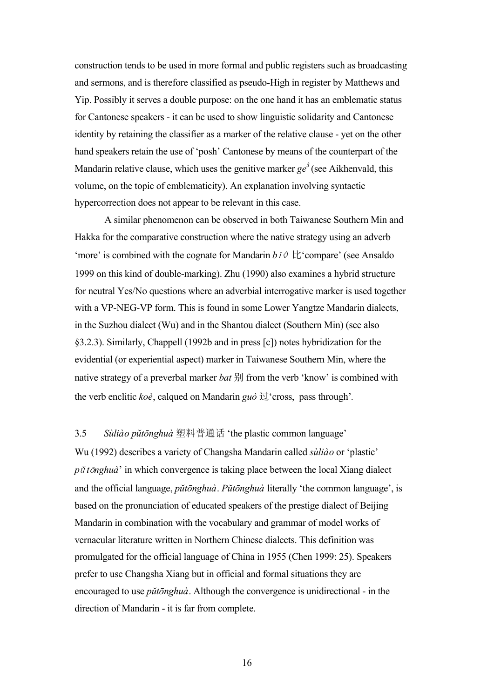construction tends to be used in more formal and public registers such as broadcasting and sermons, and is therefore classified as pseudo-High in register by Matthews and Yip. Possibly it serves a double purpose: on the one hand it has an emblematic status for Cantonese speakers - it can be used to show linguistic solidarity and Cantonese identity by retaining the classifier as a marker of the relative clause - yet on the other hand speakers retain the use of 'posh' Cantonese by means of the counterpart of the Mandarin relative clause, which uses the genitive marker  $ge^3$  (see Aikhenvald, this volume, on the topic of emblematicity). An explanation involving syntactic hypercorrection does not appear to be relevant in this case.

A similar phenomenon can be observed in both Taiwanese Southern Min and Hakka for the comparative construction where the native strategy using an adverb 'more' is combined with the cognate for Mandarin  $b<sup>i</sup> \mathcal{O} \exists$  L' compare' (see Ansaldo 1999 on this kind of double-marking). Zhu (1990) also examines a hybrid structure for neutral Yes/No questions where an adverbial interrogative marker is used together with a VP-NEG-VP form. This is found in some Lower Yangtze Mandarin dialects, in the Suzhou dialect (Wu) and in the Shantou dialect (Southern Min) (see also §3.2.3). Similarly, Chappell (1992b and in press [c]) notes hybridization for the evidential (or experiential aspect) marker in Taiwanese Southern Min, where the native strategy of a preverbal marker *bat* 别 from the verb 'know' is combined with the verb enclitic *koè*, calqued on Mandarin *guò* 过'cross, pass through'*.*

#### 3.5 *Sùliào pŭtōnghuà* 塑料普通话 'the plastic common language'

Wu (1992) describes a variety of Changsha Mandarin called *sùliào* or 'plastic' *p*ǔ *t*ō*nghuà*' in which convergence is taking place between the local Xiang dialect and the official language, *pŭtōnghuà*. *Pŭtōnghuà* literally 'the common language', is based on the pronunciation of educated speakers of the prestige dialect of Beijing Mandarin in combination with the vocabulary and grammar of model works of vernacular literature written in Northern Chinese dialects. This definition was promulgated for the official language of China in 1955 (Chen 1999: 25). Speakers prefer to use Changsha Xiang but in official and formal situations they are encouraged to use *pŭtōnghuà*. Although the convergence is unidirectional - in the direction of Mandarin - it is far from complete.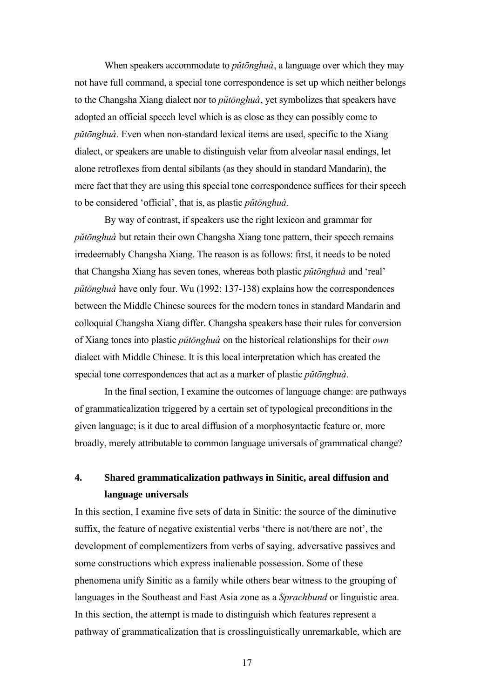When speakers accommodate to *pŭtōnghuà*, a language over which they may not have full command, a special tone correspondence is set up which neither belongs to the Changsha Xiang dialect nor to *pŭtōnghuà*, yet symbolizes that speakers have adopted an official speech level which is as close as they can possibly come to *pŭtōnghuà*. Even when non-standard lexical items are used, specific to the Xiang dialect, or speakers are unable to distinguish velar from alveolar nasal endings, let alone retroflexes from dental sibilants (as they should in standard Mandarin), the mere fact that they are using this special tone correspondence suffices for their speech to be considered 'official', that is, as plastic *pŭtōnghuà.*

By way of contrast, if speakers use the right lexicon and grammar for *pŭtōnghuà* but retain their own Changsha Xiang tone pattern, their speech remains irredeemably Changsha Xiang. The reason is as follows: first, it needs to be noted that Changsha Xiang has seven tones, whereas both plastic *pŭtōnghuà* and 'real' *pŭtōnghuà* have only four. Wu (1992: 137-138) explains how the correspondences between the Middle Chinese sources for the modern tones in standard Mandarin and colloquial Changsha Xiang differ. Changsha speakers base their rules for conversion of Xiang tones into plastic *pŭtōnghuà* on the historical relationships for their *own* dialect with Middle Chinese. It is this local interpretation which has created the special tone correspondences that act as a marker of plastic *pŭtōnghuà.* 

In the final section, I examine the outcomes of language change: are pathways of grammaticalization triggered by a certain set of typological preconditions in the given language; is it due to areal diffusion of a morphosyntactic feature or, more broadly, merely attributable to common language universals of grammatical change?

## **4. Shared grammaticalization pathways in Sinitic, areal diffusion and language universals**

In this section, I examine five sets of data in Sinitic: the source of the diminutive suffix, the feature of negative existential verbs 'there is not/there are not', the development of complementizers from verbs of saying, adversative passives and some constructions which express inalienable possession. Some of these phenomena unify Sinitic as a family while others bear witness to the grouping of languages in the Southeast and East Asia zone as a *Sprachbund* or linguistic area. In this section, the attempt is made to distinguish which features represent a pathway of grammaticalization that is crosslinguistically unremarkable, which are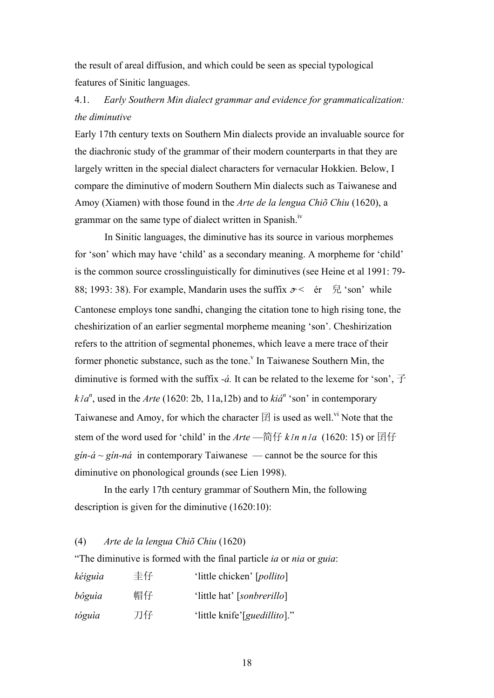the result of areal diffusion, and which could be seen as special typological features of Sinitic languages.

## 4.1. *Early Southern Min dialect grammar and evidence for grammaticalization: the diminutive*

Early 17th century texts on Southern Min dialects provide an invaluable source for the diachronic study of the grammar of their modern counterparts in that they are largely written in the special dialect characters for vernacular Hokkien. Below, I compare the diminutive of modern Southern Min dialects such as Taiwanese and Amoy (Xiamen) with those found in the *Arte de la lengua Chiõ Chiu* (1620), a grammar on the same type of dialect written in Spanish.<sup>iv</sup>

In Sinitic languages, the diminutive has its source in various morphemes for 'son' which may have 'child' as a secondary meaning. A morpheme for 'child' is the common source crosslinguistically for diminutives (see Heine et al 1991: 79- 88; 1993: 38). For example, Mandarin uses the suffix  $\sigma <$  ér  $\oplus$  'son' while Cantonese employs tone sandhi, changing the citation tone to high rising tone, the cheshirization of an earlier segmental morpheme meaning 'son'. Cheshirization refers to the attrition of segmental phonemes, which leave a mere trace of their former phonetic substance, such as the tone.<sup>V</sup> In Taiwanese Southern Min, the diminutive is formed with the suffix *-a*. It can be related to the lexeme for 'son',  $\vec{\pm}$  $k \textit{ia}^n$ , used in the *Arte* (1620: 2b, 11a,12b) and to  $k \textit{ia}^n$  'son' in contemporary Taiwanese and Amoy, for which the character  $\mathbb{\bar{F}}$  is used as well.<sup>vi</sup> Note that the stem of the word used for 'child' in the *Arte* —简仔  $k$ *in n ia* (1620: 15) or  $\exists$ 仔  $g/n - \dot{a}$  ~  $g/n - n\dot{a}$  in contemporary Taiwanese — cannot be the source for this diminutive on phonological grounds (see Lien 1998).

 In the early 17th century grammar of Southern Min, the following description is given for the diminutive (1620:10):

#### (4) *Arte de la lengua Chiõ Chiu* (1620)

"The diminutive is formed with the final particle *ia* or *nia* or *guia*:

| kéiguìa | 圭仔 | 'little chicken' [ <i>pollito</i> ]   |
|---------|----|---------------------------------------|
| bôguìa  | 帽仔 | 'little hat' [sonbrerillo]            |
| tóguìa  | 刀仔 | 'little knife'[ <i>guedillito</i> ]." |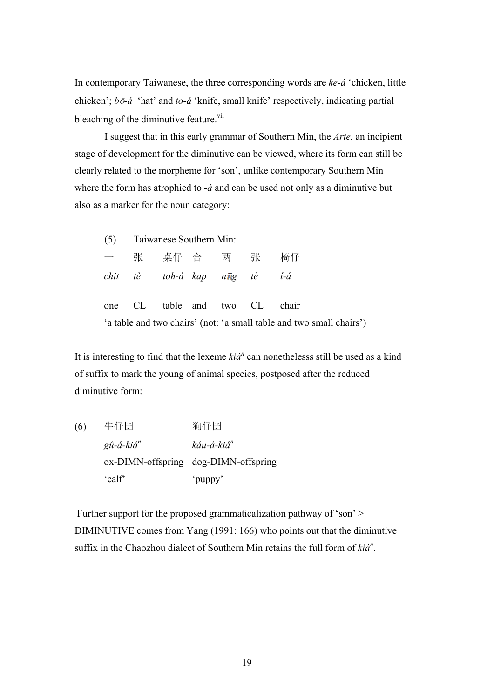In contemporary Taiwanese, the three corresponding words are *ke-á* 'chicken, little chicken';  $b\bar{o}\text{-}\acute{a}$  'hat' and  $\text{to}\text{-}\acute{a}$  'knife, small knife' respectively, indicating partial bleaching of the diminutive feature.<sup>vii</sup>

I suggest that in this early grammar of Southern Min, the *Arte*, an incipient stage of development for the diminutive can be viewed, where its form can still be clearly related to the morpheme for 'son', unlike contemporary Southern Min where the form has atrophied to *-á* and can be used not only as a diminutive but also as a marker for the noun category:

(5) Taiwanese Southern Min: 一 张 桌仔 合 两 张 椅仔 *chit tè toh*-*á kap n g tè í-á*  one CL table and two CL chair 'a table and two chairs' (not: 'a small table and two small chairs')

It is interesting to find that the lexeme  $k i \hat{a}^n$  can nonethelesss still be used as a kind of suffix to mark the young of animal species, postposed after the reduced diminutive form:

(6) 牛仔囝 狗仔囝 *gû-á-kián káu-á-kián* ox-DIMN-offspring dog-DIMN-offspring 'calf' 'puppy'

 Further support for the proposed grammaticalization pathway of 'son' > DIMINUTIVE comes from Yang (1991: 166) who points out that the diminutive suffix in the Chaozhou dialect of Southern Min retains the full form of  $ki\acute{a}^n$ .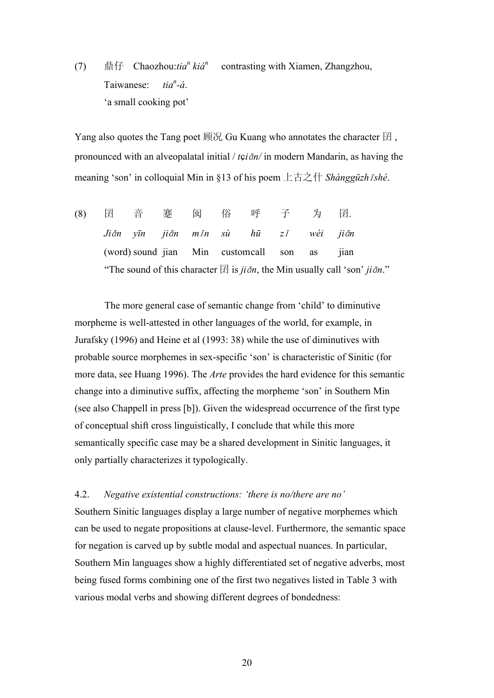(7) 鼎仔 Chaozhou:*tian kiá<sup>n</sup>* contrasting with Xiamen, Zhangzhou, Taiwanese:  $\vec{a}$ <sup>n</sup>- $\vec{a}$ 'a small cooking pot'

Yang also quotes the Tang poet  $\overline{M}/\overline{M}$  Gu Kuang who annotates the character  $\overline{H}$ , pronounced with an alveopalatal initial / *t* $\varphi$ *i*ǎ*n*/ in modern Mandarin, as having the meaning 'son' in colloquial Min in §13 of his poem 上古之什 *Shànggŭzh*ī*shé*.

| (8) | 子 |  |  | 音 蹇 闽 俗 呼 子  为                                |                                                                                                                 |
|-----|---|--|--|-----------------------------------------------|-----------------------------------------------------------------------------------------------------------------|
|     |   |  |  | Jiăn yīn jiăn min sù hū zi wéi jiăn           |                                                                                                                 |
|     |   |  |  | (word) sound jian Min custom call son as jian |                                                                                                                 |
|     |   |  |  |                                               | "The sound of this character $\mathbb{\overline{B}}$ is <i>jiǎn</i> , the Min usually call 'son' <i>jiǎn</i> ." |

The more general case of semantic change from 'child' to diminutive morpheme is well-attested in other languages of the world, for example, in Jurafsky (1996) and Heine et al (1993: 38) while the use of diminutives with probable source morphemes in sex-specific 'son' is characteristic of Sinitic (for more data, see Huang 1996). The *Arte* provides the hard evidence for this semantic change into a diminutive suffix, affecting the morpheme 'son' in Southern Min (see also Chappell in press [b]). Given the widespread occurrence of the first type of conceptual shift cross linguistically, I conclude that while this more semantically specific case may be a shared development in Sinitic languages, it only partially characterizes it typologically.

#### 4.2. *Negative existential constructions: 'there is no/there are no'*

Southern Sinitic languages display a large number of negative morphemes which can be used to negate propositions at clause-level. Furthermore, the semantic space for negation is carved up by subtle modal and aspectual nuances. In particular, Southern Min languages show a highly differentiated set of negative adverbs, most being fused forms combining one of the first two negatives listed in Table 3 with various modal verbs and showing different degrees of bondedness: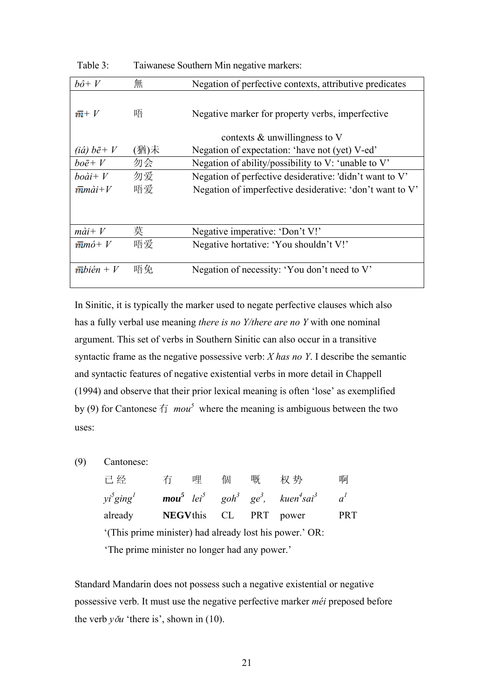| $b\hat{o}+V$                                          | 無    | Negation of perfective contexts, attributive predicates  |
|-------------------------------------------------------|------|----------------------------------------------------------|
|                                                       |      |                                                          |
| $m + V$                                               | 晤    | Negative marker for property verbs, imperfective         |
|                                                       |      | contexts $\&$ unwillingness to V                         |
| $(i\acute{a}) b\bar{e}+V$                             | (猶)未 | Negation of expectation: 'have not (yet) V-ed'           |
| $bo\bar{e}+V$                                         | 勿会   | Negation of ability/possibility to V: 'unable to V'      |
| $b$ <i>oài</i> + $V$                                  | 勿爱   | Negation of perfective desiderative: 'didn't want to V'  |
| $\overline{m}$ <i>m</i> $\dot{a}$ <i>i</i> + <i>V</i> | 唔爱   | Negation of imperfective desiderative: 'don't want to V' |
|                                                       |      |                                                          |
|                                                       |      |                                                          |
| $m\dot{a}i+V$                                         | 莫    | Negative imperative: 'Don't V!'                          |
| $\overline{m}m\acute{o}+V$                            | 唔爱   | Negative hortative: 'You shouldn't V!'                   |
|                                                       |      |                                                          |
| $\overline{m}$ bién + V                               | 唔免   | Negation of necessity: 'You don't need to V'             |
|                                                       |      |                                                          |

Table 3: Taiwanese Southern Min negative markers:

In Sinitic, it is typically the marker used to negate perfective clauses which also has a fully verbal use meaning *there is no Y/there are no Y* with one nominal argument. This set of verbs in Southern Sinitic can also occur in a transitive syntactic frame as the negative possessive verb: *X has no Y*. I describe the semantic and syntactic features of negative existential verbs in more detail in Chappell (1994) and observe that their prior lexical meaning is often 'lose' as exemplified by (9) for Cantonese  $\overline{T}$  *mou*<sup>5</sup> where the meaning is ambiguous between the two uses:

(9) Cantonese:

| 已经                                                      | 右 | 哩 | 個 | 嘅 | - 权 势                                                                                                          | 啊     |  |
|---------------------------------------------------------|---|---|---|---|----------------------------------------------------------------------------------------------------------------|-------|--|
| $yi^3$ ging <sup>1</sup>                                |   |   |   |   | <b>mou</b> <sup>5</sup> lei <sup>5</sup> goh <sup>3</sup> ge <sup>3</sup> , kuen <sup>4</sup> sai <sup>3</sup> | $a^I$ |  |
| already                                                 |   |   |   |   | <b>NEGVthis</b> CL PRT power                                                                                   | PRT   |  |
| '(This prime minister) had already lost his power.' OR: |   |   |   |   |                                                                                                                |       |  |
|                                                         |   |   |   |   |                                                                                                                |       |  |

'The prime minister no longer had any power.'

Standard Mandarin does not possess such a negative existential or negative possessive verb. It must use the negative perfective marker *méi* preposed before the verb  $y\delta u$  'there is', shown in (10).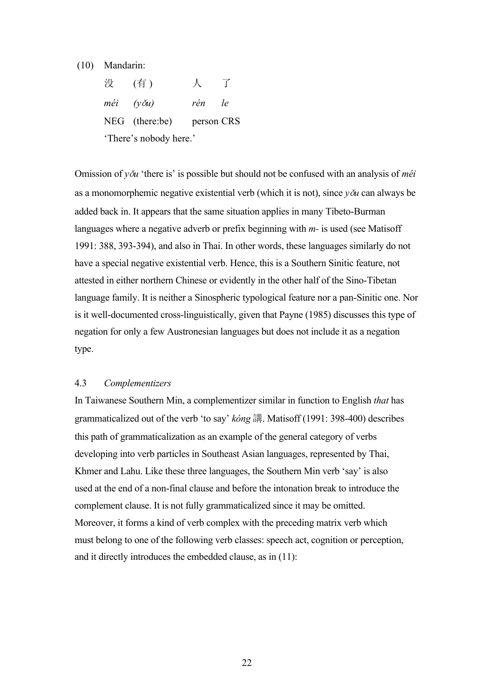(10) Mandarin:

| 没 (有)                         |                           |        |  |
|-------------------------------|---------------------------|--------|--|
| $m\acute{e}i$ $(y\breve{c}u)$ |                           | rén le |  |
|                               | NEG (there:be) person CRS |        |  |
|                               | 'There's nobody here.'    |        |  |

Omission of *y*ǒ*u* 'there is' is possible but should not be confused with an analysis of *méi* as a monomorphemic negative existential verb (which it is not), since *y*ǒ*u* can always be added back in. It appears that the same situation applies in many Tibeto-Burman languages where a negative adverb or prefix beginning with *m-* is used (see Matisoff 1991: 388, 393-394), and also in Thai. In other words, these languages similarly do not have a special negative existential verb. Hence, this is a Southern Sinitic feature, not attested in either northern Chinese or evidently in the other half of the Sino-Tibetan language family. It is neither a Sinospheric typological feature nor a pan-Sinitic one. Nor is it well-documented cross-linguistically, given that Payne (1985) discusses this type of negation for only a few Austronesian languages but does not include it as a negation type.

#### 4.3 *Complementizers*

In Taiwanese Southern Min, a complementizer similar in function to English *that* has grammaticalized out of the verb 'to say' *kóng* 講. Matisoff (1991: 398-400) describes this path of grammaticalization as an example of the general category of verbs developing into verb particles in Southeast Asian languages, represented by Thai, Khmer and Lahu. Like these three languages, the Southern Min verb 'say' is also used at the end of a non-final clause and before the intonation break to introduce the complement clause. It is not fully grammaticalized since it may be omitted. Moreover, it forms a kind of verb complex with the preceding matrix verb which must belong to one of the following verb classes: speech act, cognition or perception, and it directly introduces the embedded clause, as in (11):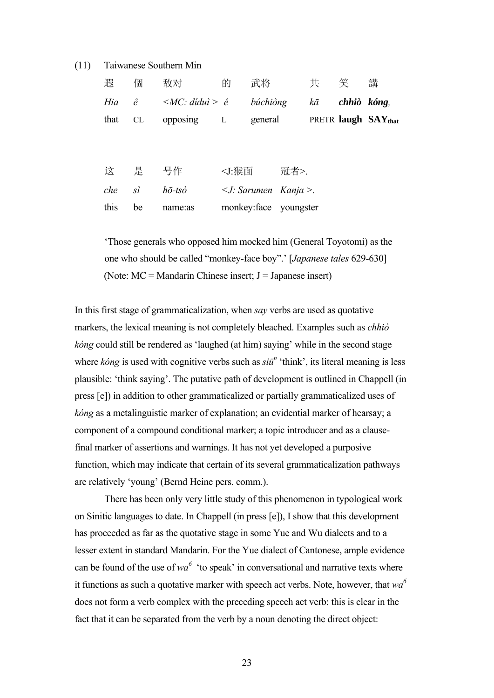(11) Taiwanese Southern Min

| 遐 | 個 | 敌对                                                                | 的 | 武将                                             | 共 笑 | 講 |
|---|---|-------------------------------------------------------------------|---|------------------------------------------------|-----|---|
|   |   | Hia ê $\langle MC: d'du\rangle > \hat{e}$ búchiòng kā chhiò kóng, |   |                                                |     |   |
|   |   | that CL opposing L                                                |   | general PRETR <b>laugh SAY</b> <sub>that</sub> |     |   |

| 这    | 是                     | 号作                                 | <j:猴面< th=""><th>冠者&gt;.</th></j:猴面<>   | 冠者>. |
|------|-----------------------|------------------------------------|-----------------------------------------|------|
| che  | $\overrightarrow{si}$ | $h\bar{\sigma}$ -ts $\dot{\sigma}$ | $\langle J: Sarumen \; Kanja \rangle$ . |      |
| this | he                    | name:as                            | monkey: face youngster                  |      |

'Those generals who opposed him mocked him (General Toyotomi) as the one who should be called "monkey-face boy".' [*Japanese tales* 629-630] (Note:  $MC = M$ andarin Chinese insert;  $J = J$ apanese insert)

In this first stage of grammaticalization, when *say* verbs are used as quotative markers, the lexical meaning is not completely bleached. Examples such as *chhiò kóng* could still be rendered as 'laughed (at him) saying' while in the second stage where *kóng* is used with cognitive verbs such as *siū<sup>n</sup>* 'think', its literal meaning is less plausible: 'think saying'. The putative path of development is outlined in Chappell (in press [e]) in addition to other grammaticalized or partially grammaticalized uses of *kóng* as a metalinguistic marker of explanation; an evidential marker of hearsay; a component of a compound conditional marker; a topic introducer and as a clausefinal marker of assertions and warnings. It has not yet developed a purposive function, which may indicate that certain of its several grammaticalization pathways are relatively 'young' (Bernd Heine pers. comm.).

There has been only very little study of this phenomenon in typological work on Sinitic languages to date. In Chappell (in press [e]), I show that this development has proceeded as far as the quotative stage in some Yue and Wu dialects and to a lesser extent in standard Mandarin. For the Yue dialect of Cantonese, ample evidence can be found of the use of  $w a^6$  'to speak' in conversational and narrative texts where it functions as such a quotative marker with speech act verbs. Note, however, that  $wa^6$ does not form a verb complex with the preceding speech act verb: this is clear in the fact that it can be separated from the verb by a noun denoting the direct object: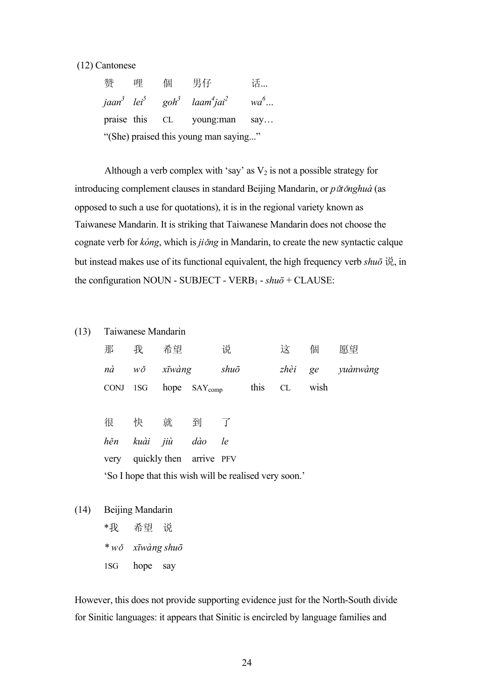(12) Cantonese

| 赞           | 哩 | 個 | 男仔                                                                                     | 诂      |
|-------------|---|---|----------------------------------------------------------------------------------------|--------|
|             |   |   | jaan <sup>3</sup> lei <sup>5</sup> goh <sup>3</sup> laam <sup>4</sup> jai <sup>2</sup> | $wa^o$ |
| praise this |   |   | CL young:man                                                                           | say    |
|             |   |   | "(She) praised this young man saying"                                                  |        |

Although a verb complex with 'say' as  $V_2$  is not a possible strategy for introducing complement clauses in standard Beijing Mandarin, or *p*ǔ*t*ō*nghuà* (as opposed to such a use for quotations), it is in the regional variety known as Taiwanese Mandarin. It is striking that Taiwanese Mandarin does not choose the cognate verb for *kóng*, which is *ji*ǎ*ng* in Mandarin, to create the new syntactic calque but instead makes use of its functional equivalent, the high frequency verb *shuō* 说, in the configuration NOUN - SUBJECT - VERB<sub>1</sub> -  $\text{shu}\bar{\text{o}}$  + CLAUSE:

(13) Taiwanese Mandarin

| 那                                                      | 我               | 希望     |                         | 说    |      | 这    | 個    | 愿望       |
|--------------------------------------------------------|-----------------|--------|-------------------------|------|------|------|------|----------|
| nà                                                     | wŏ              | xīwàng |                         | shuō |      | zhèi | ge   | yuànwàng |
| <b>CONJ</b>                                            | 1S <sub>G</sub> |        | hope $SAY_{comp}$       |      | this | CL   | wish |          |
|                                                        |                 |        |                         |      |      |      |      |          |
| 很                                                      | 快               | 就      | 到 了                     |      |      |      |      |          |
| hěn                                                    | kuài jiù        |        | dào                     | le   |      |      |      |          |
| very                                                   |                 |        | quickly then arrive PFV |      |      |      |      |          |
| 'So I hope that this wish will be realised very soon.' |                 |        |                         |      |      |      |      |          |
|                                                        |                 |        |                         |      |      |      |      |          |
|                                                        |                 |        |                         |      |      |      |      |          |

(14) Beijing Mandarin

 \*我 希望 说 *\* w*ǒ *xīwàng shuō*  1SG hope say

However, this does not provide supporting evidence just for the North-South divide for Sinitic languages: it appears that Sinitic is encircled by language families and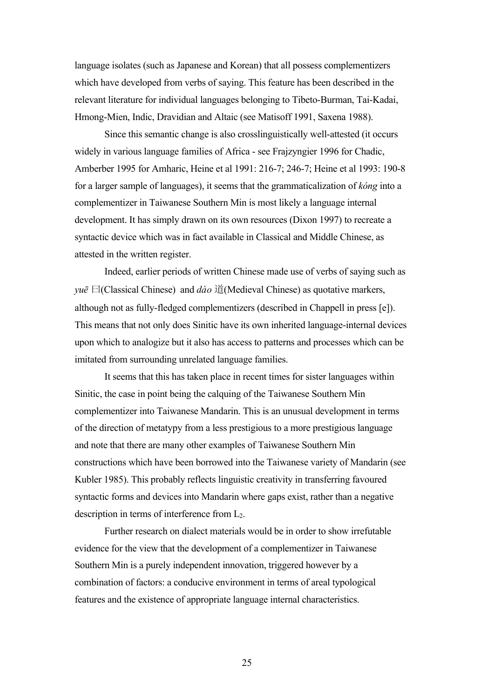language isolates (such as Japanese and Korean) that all possess complementizers which have developed from verbs of saying. This feature has been described in the relevant literature for individual languages belonging to Tibeto-Burman, Tai-Kadai, Hmong-Mien, Indic, Dravidian and Altaic (see Matisoff 1991, Saxena 1988).

Since this semantic change is also crosslinguistically well-attested (it occurs widely in various language families of Africa - see Frajzyngier 1996 for Chadic, Amberber 1995 for Amharic, Heine et al 1991: 216-7; 246-7; Heine et al 1993: 190-8 for a larger sample of languages), it seems that the grammaticalization of *kóng* into a complementizer in Taiwanese Southern Min is most likely a language internal development. It has simply drawn on its own resources (Dixon 1997) to recreate a syntactic device which was in fact available in Classical and Middle Chinese, as attested in the written register.

Indeed, earlier periods of written Chinese made use of verbs of saying such as *yuē* 曰(Classical Chinese) and *dào* 道(Medieval Chinese) as quotative markers, although not as fully-fledged complementizers (described in Chappell in press [e]). This means that not only does Sinitic have its own inherited language-internal devices upon which to analogize but it also has access to patterns and processes which can be imitated from surrounding unrelated language families.

It seems that this has taken place in recent times for sister languages within Sinitic, the case in point being the calquing of the Taiwanese Southern Min complementizer into Taiwanese Mandarin. This is an unusual development in terms of the direction of metatypy from a less prestigious to a more prestigious language and note that there are many other examples of Taiwanese Southern Min constructions which have been borrowed into the Taiwanese variety of Mandarin (see Kubler 1985). This probably reflects linguistic creativity in transferring favoured syntactic forms and devices into Mandarin where gaps exist, rather than a negative description in terms of interference from  $L<sub>2</sub>$ .

Further research on dialect materials would be in order to show irrefutable evidence for the view that the development of a complementizer in Taiwanese Southern Min is a purely independent innovation, triggered however by a combination of factors: a conducive environment in terms of areal typological features and the existence of appropriate language internal characteristics.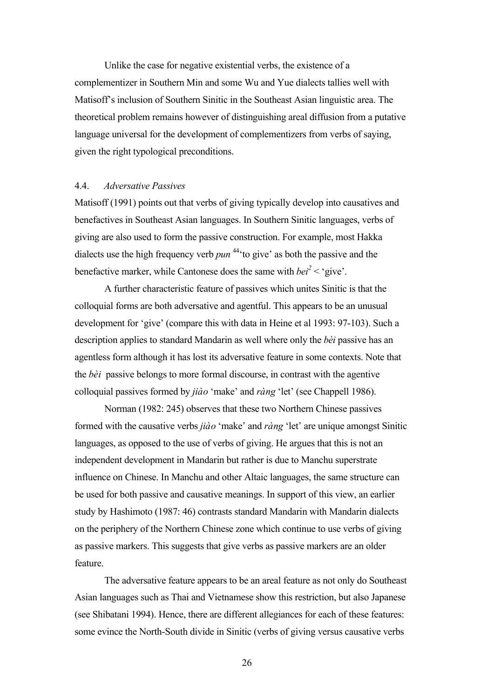Unlike the case for negative existential verbs, the existence of a complementizer in Southern Min and some Wu and Yue dialects tallies well with Matisoff's inclusion of Southern Sinitic in the Southeast Asian linguistic area. The theoretical problem remains however of distinguishing areal diffusion from a putative language universal for the development of complementizers from verbs of saying, given the right typological preconditions.

#### 4.4. *Adversative Passives*

Matisoff (1991) points out that verbs of giving typically develop into causatives and benefactives in Southeast Asian languages. In Southern Sinitic languages, verbs of giving are also used to form the passive construction. For example, most Hakka dialects use the high frequency verb *pun* 44'to give' as both the passive and the benefactive marker, while Cantonese does the same with  $bei^2 <$  'give'.

A further characteristic feature of passives which unites Sinitic is that the colloquial forms are both adversative and agentful. This appears to be an unusual development for 'give' (compare this with data in Heine et al 1993: 97-103). Such a description applies to standard Mandarin as well where only the *bèi* passive has an agentless form although it has lost its adversative feature in some contexts. Note that the *bèi* passive belongs to more formal discourse, in contrast with the agentive colloquial passives formed by *jiào* 'make' and *ràng* 'let' (see Chappell 1986).

Norman (1982: 245) observes that these two Northern Chinese passives formed with the causative verbs *jiào* 'make' and *ràng* 'let' are unique amongst Sinitic languages, as opposed to the use of verbs of giving. He argues that this is not an independent development in Mandarin but rather is due to Manchu superstrate influence on Chinese. In Manchu and other Altaic languages, the same structure can be used for both passive and causative meanings. In support of this view, an earlier study by Hashimoto (1987: 46) contrasts standard Mandarin with Mandarin dialects on the periphery of the Northern Chinese zone which continue to use verbs of giving as passive markers. This suggests that give verbs as passive markers are an older feature.

The adversative feature appears to be an areal feature as not only do Southeast Asian languages such as Thai and Vietnamese show this restriction, but also Japanese (see Shibatani 1994). Hence, there are different allegiances for each of these features: some evince the North-South divide in Sinitic (verbs of giving versus causative verbs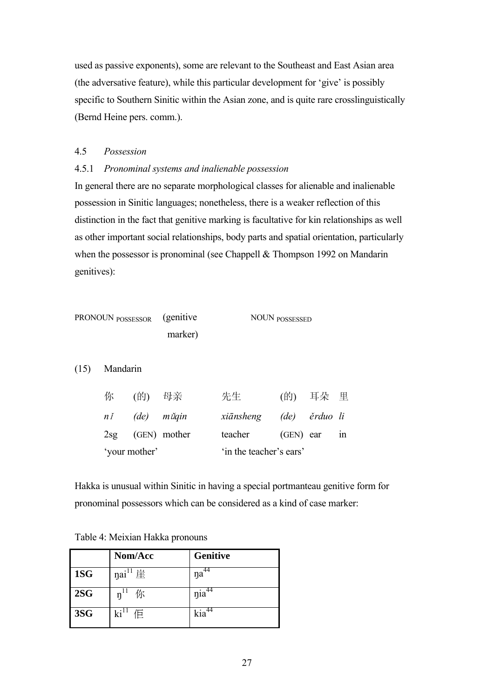used as passive exponents), some are relevant to the Southeast and East Asian area (the adversative feature), while this particular development for 'give' is possibly specific to Southern Sinitic within the Asian zone, and is quite rare crosslinguistically (Bernd Heine pers. comm.).

#### 4.5 *Possession*

#### 4.5.1 *Pronominal systems and inalienable possession*

In general there are no separate morphological classes for alienable and inalienable possession in Sinitic languages; nonetheless, there is a weaker reflection of this distinction in the fact that genitive marking is facultative for kin relationships as well as other important social relationships, body parts and spatial orientation, particularly when the possessor is pronominal (see Chappell & Thompson 1992 on Mandarin genitives):

|      | PRONOUN POSSESSOR |      | <i>(genitive)</i><br>marker) |           | <b>NOUN POSSESSED</b> |          |    |
|------|-------------------|------|------------------------------|-----------|-----------------------|----------|----|
| (15) | Mandarin          |      |                              |           |                       |          |    |
|      | 你                 | (的)  | 母亲                           | 先生        | (的)                   | 耳朵里      |    |
|      | n <sub>i</sub>    | (de) | m <i>ŭgin</i>                | xiānsheng | (de)                  | ěrduo li |    |
|      | 2sg               |      | (GEN) mother                 | teacher   | (GEN) ear             |          | in |

'your mother' 'in the teacher's ears'

Hakka is unusual within Sinitic in having a special portmanteau genitive form for pronominal possessors which can be considered as a kind of case marker:

|                              | Nom/Acc                   | <b>Genitive</b>              |
|------------------------------|---------------------------|------------------------------|
| $\overline{\phantom{a}}$ 1SG | $\eta$ ai <sup>11</sup> 崖 | $\overline{na}^{44}$         |
| 2SG                          | $n^{11}$<br>你             | $\overline{\text{nia}}^{44}$ |
| <b>3SG</b>                   | $\rm{ki}^{11}$<br>佢       | 44<br>kıa                    |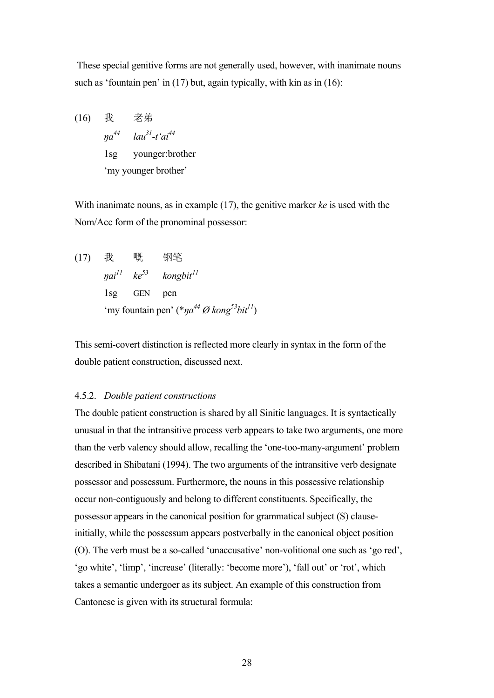These special genitive forms are not generally used, however, with inanimate nouns such as 'fountain pen' in (17) but, again typically, with kin as in (16):

(16) 我 老弟 *ŋa 44 lau31-t'ai44* 1sg younger:brother 'my younger brother'

With inanimate nouns, as in example (17), the genitive marker *ke* is used with the Nom/Acc form of the pronominal possessor:

(17) 
$$
\ddot{x}
$$
  $\dddot{y}$   $\dddot{y}$   $ke^{53}$   $kongbit^{11}$   $1\text{sg}$   $GEN$   $pen$   $f^{*}ya^{44} \mathcal{O} \text{ } kong^{53}bit^{11}$ 

This semi-covert distinction is reflected more clearly in syntax in the form of the double patient construction, discussed next.

#### 4.5.2. *Double patient constructions*

The double patient construction is shared by all Sinitic languages. It is syntactically unusual in that the intransitive process verb appears to take two arguments, one more than the verb valency should allow, recalling the 'one-too-many-argument' problem described in Shibatani (1994). The two arguments of the intransitive verb designate possessor and possessum. Furthermore, the nouns in this possessive relationship occur non-contiguously and belong to different constituents. Specifically, the possessor appears in the canonical position for grammatical subject (S) clauseinitially, while the possessum appears postverbally in the canonical object position (O). The verb must be a so-called 'unaccusative' non-volitional one such as 'go red', 'go white', 'limp', 'increase' (literally: 'become more'), 'fall out' or 'rot', which takes a semantic undergoer as its subject. An example of this construction from Cantonese is given with its structural formula: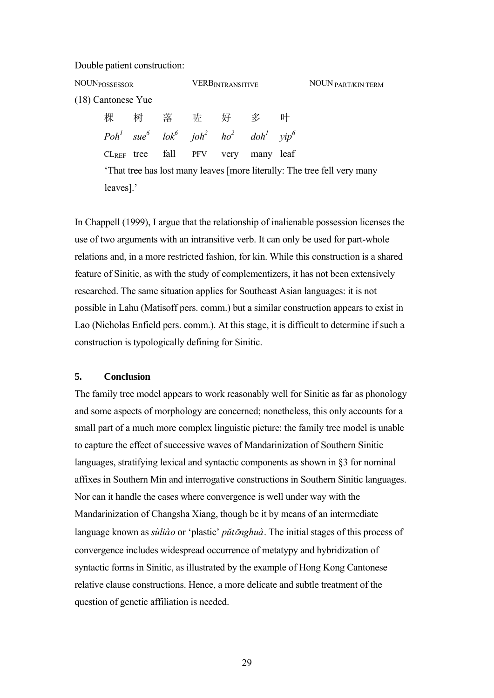Double patient construction:

NOUNPOSSESSOR VERBINTRANSITIVE NOUN PART/KIN TERM

(18) Cantonese Yue

棵 树 落 咗 好 多 叶 *Poh1 sue 6*  $\int$  *lok*<sup>6</sup> *joh*<sup>2</sup> *ho*<sup>2</sup> *doh*<sup>1</sup> *yip*<sup>6</sup> CLREF tree fall PFV very many leaf 'That tree has lost many leaves [more literally: The tree fell very many leaves].'

In Chappell (1999), I argue that the relationship of inalienable possession licenses the use of two arguments with an intransitive verb. It can only be used for part-whole relations and, in a more restricted fashion, for kin. While this construction is a shared feature of Sinitic, as with the study of complementizers, it has not been extensively researched. The same situation applies for Southeast Asian languages: it is not possible in Lahu (Matisoff pers. comm.) but a similar construction appears to exist in Lao (Nicholas Enfield pers. comm.). At this stage, it is difficult to determine if such a construction is typologically defining for Sinitic.

#### **5. Conclusion**

The family tree model appears to work reasonably well for Sinitic as far as phonology and some aspects of morphology are concerned; nonetheless, this only accounts for a small part of a much more complex linguistic picture: the family tree model is unable to capture the effect of successive waves of Mandarinization of Southern Sinitic languages, stratifying lexical and syntactic components as shown in §3 for nominal affixes in Southern Min and interrogative constructions in Southern Sinitic languages. Nor can it handle the cases where convergence is well under way with the Mandarinization of Changsha Xiang, though be it by means of an intermediate language known as *sùliào* or 'plastic' *pŭt*ō*nghuà*. The initial stages of this process of convergence includes widespread occurrence of metatypy and hybridization of syntactic forms in Sinitic, as illustrated by the example of Hong Kong Cantonese relative clause constructions. Hence, a more delicate and subtle treatment of the question of genetic affiliation is needed.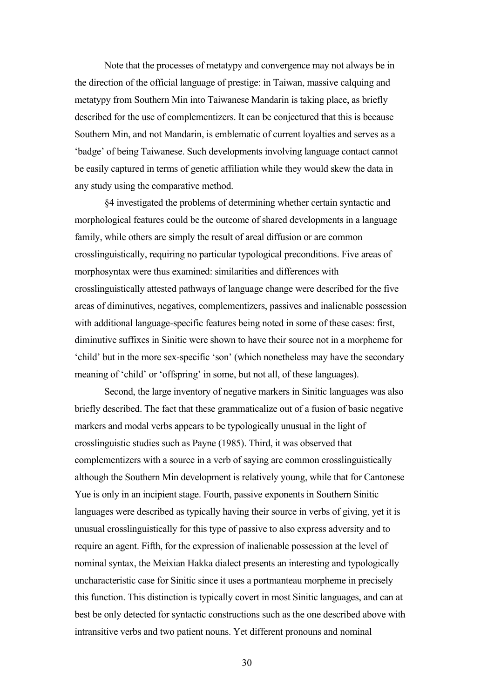Note that the processes of metatypy and convergence may not always be in the direction of the official language of prestige: in Taiwan, massive calquing and metatypy from Southern Min into Taiwanese Mandarin is taking place, as briefly described for the use of complementizers. It can be conjectured that this is because Southern Min, and not Mandarin, is emblematic of current loyalties and serves as a 'badge' of being Taiwanese. Such developments involving language contact cannot be easily captured in terms of genetic affiliation while they would skew the data in any study using the comparative method.

§4 investigated the problems of determining whether certain syntactic and morphological features could be the outcome of shared developments in a language family, while others are simply the result of areal diffusion or are common crosslinguistically, requiring no particular typological preconditions. Five areas of morphosyntax were thus examined: similarities and differences with crosslinguistically attested pathways of language change were described for the five areas of diminutives, negatives, complementizers, passives and inalienable possession with additional language-specific features being noted in some of these cases: first, diminutive suffixes in Sinitic were shown to have their source not in a morpheme for 'child' but in the more sex-specific 'son' (which nonetheless may have the secondary meaning of 'child' or 'offspring' in some, but not all, of these languages).

Second, the large inventory of negative markers in Sinitic languages was also briefly described. The fact that these grammaticalize out of a fusion of basic negative markers and modal verbs appears to be typologically unusual in the light of crosslinguistic studies such as Payne (1985). Third, it was observed that complementizers with a source in a verb of saying are common crosslinguistically although the Southern Min development is relatively young, while that for Cantonese Yue is only in an incipient stage. Fourth, passive exponents in Southern Sinitic languages were described as typically having their source in verbs of giving, yet it is unusual crosslinguistically for this type of passive to also express adversity and to require an agent. Fifth, for the expression of inalienable possession at the level of nominal syntax, the Meixian Hakka dialect presents an interesting and typologically uncharacteristic case for Sinitic since it uses a portmanteau morpheme in precisely this function. This distinction is typically covert in most Sinitic languages, and can at best be only detected for syntactic constructions such as the one described above with intransitive verbs and two patient nouns. Yet different pronouns and nominal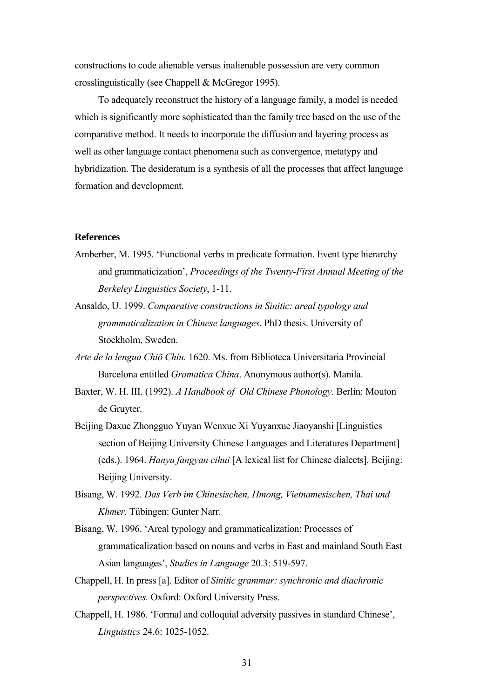constructions to code alienable versus inalienable possession are very common crosslinguistically (see Chappell & McGregor 1995).

To adequately reconstruct the history of a language family, a model is needed which is significantly more sophisticated than the family tree based on the use of the comparative method. It needs to incorporate the diffusion and layering process as well as other language contact phenomena such as convergence, metatypy and hybridization. The desideratum is a synthesis of all the processes that affect language formation and development.

#### **References**

- Amberber, M. 1995. 'Functional verbs in predicate formation. Event type hierarchy and grammaticization', *Proceedings of the Twenty-First Annual Meeting of the Berkeley Linguistics Society*, 1-11.
- Ansaldo, U. 1999. *Comparative constructions in Sinitic: areal typology and grammaticalization in Chinese languages*. PhD thesis. University of Stockholm, Sweden.
- *Arte de la lengua Chiõ Chiu.* 1620. Ms. from Biblioteca Universitaria Provincial Barcelona entitled *Gramatica China*. Anonymous author(s). Manila.
- Baxter, W. H. III. (1992). *A Handbook of Old Chinese Phonology.* Berlin: Mouton de Gruyter.
- Beijing Daxue Zhongguo Yuyan Wenxue Xi Yuyanxue Jiaoyanshi [Linguistics section of Beijing University Chinese Languages and Literatures Department] (eds.). 1964. *Hanyu fangyan cihui* [A lexical list for Chinese dialects]. Beijing: Beijing University.
- Bisang, W. 1992. *Das Verb im Chinesischen, Hmong, Vietnamesischen, Thai und Khmer.* Tübingen: Gunter Narr.
- Bisang, W. 1996. 'Areal typology and grammaticalization: Processes of grammaticalization based on nouns and verbs in East and mainland South East Asian languages', *Studies in Language* 20.3: 519-597.
- Chappell, H. In press [a]. Editor of *Sinitic grammar: synchronic and diachronic perspectives.* Oxford: Oxford University Press.
- Chappell, H. 1986. 'Formal and colloquial adversity passives in standard Chinese', *Linguistics* 24.6: 1025-1052.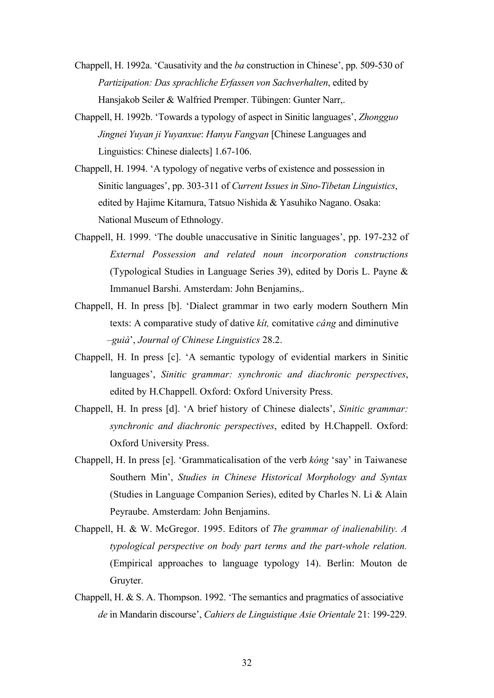- Chappell, H. 1992a. 'Causativity and the *ba* construction in Chinese', pp. 509-530 of *Partizipation: Das sprachliche Erfassen von Sachverhalten*, edited by Hansjakob Seiler & Walfried Premper. Tübingen: Gunter Narr,.
- Chappell, H. 1992b. 'Towards a typology of aspect in Sinitic languages', *Zhongguo Jingnei Yuyan ji Yuyanxue*: *Hanyu Fangyan* [Chinese Languages and Linguistics: Chinese dialects] 1.67-106.
- Chappell, H. 1994. 'A typology of negative verbs of existence and possession in Sinitic languages', pp. 303-311 of *Current Issues in Sino-Tibetan Linguistics*, edited by Hajime Kitamura, Tatsuo Nishida & Yasuhiko Nagano. Osaka: National Museum of Ethnology.
- Chappell, H. 1999. 'The double unaccusative in Sinitic languages', pp. 197-232 of *External Possession and related noun incorporation constructions*  (Typological Studies in Language Series 39), edited by Doris L. Payne & Immanuel Barshi. Amsterdam: John Benjamins,.
- Chappell, H. In press [b]. 'Dialect grammar in two early modern Southern Min texts: A comparative study of dative *kít,* comitative *câng* and diminutive *–guià*', *Journal of Chinese Linguistics* 28.2.
- Chappell, H. In press [c]. 'A semantic typology of evidential markers in Sinitic languages', *Sinitic grammar: synchronic and diachronic perspectives*, edited by H.Chappell. Oxford: Oxford University Press.
- Chappell, H. In press [d]. 'A brief history of Chinese dialects', *Sinitic grammar: synchronic and diachronic perspectives*, edited by H.Chappell. Oxford: Oxford University Press.
- Chappell, H. In press [e]. 'Grammaticalisation of the verb *kóng* 'say' in Taiwanese Southern Min', *Studies in Chinese Historical Morphology and Syntax* (Studies in Language Companion Series), edited by Charles N. Li & Alain Peyraube. Amsterdam: John Benjamins.
- Chappell, H. & W. McGregor. 1995. Editors of *The grammar of inalienability. A typological perspective on body part terms and the part-whole relation.* (Empirical approaches to language typology 14). Berlin: Mouton de Gruyter.
- Chappell, H. & S. A. Thompson. 1992. 'The semantics and pragmatics of associative *de* in Mandarin discourse', *Cahiers de Linguistique Asie Orientale* 21: 199-229.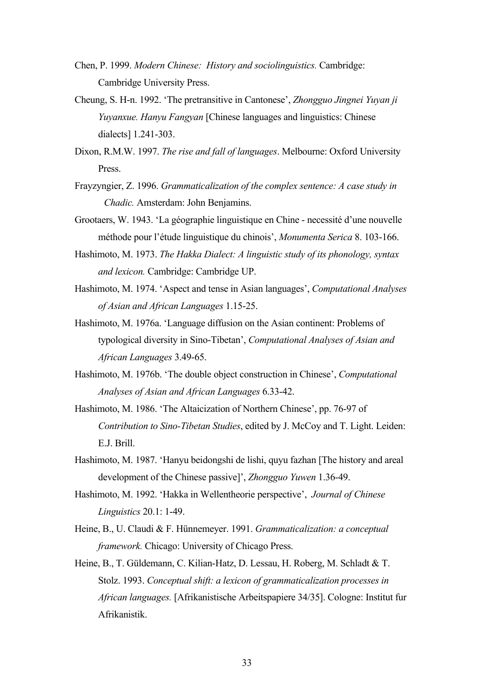- Chen, P. 1999. *Modern Chinese: History and sociolinguistics.* Cambridge: Cambridge University Press.
- Cheung, S. H-n. 1992. 'The pretransitive in Cantonese', *Zhongguo Jingnei Yuyan ji Yuyanxue. Hanyu Fangyan* [Chinese languages and linguistics: Chinese dialects] 1.241-303.
- Dixon, R.M.W. 1997. *The rise and fall of languages*. Melbourne: Oxford University **Press**.
- Frayzyngier, Z. 1996. *Grammaticalization of the complex sentence: A case study in Chadic.* Amsterdam: John Benjamins.
- Grootaers, W. 1943. 'La géographie linguistique en Chine necessité d'une nouvelle méthode pour l'étude linguistique du chinois', *Monumenta Serica* 8. 103-166.
- Hashimoto, M. 1973. *The Hakka Dialect: A linguistic study of its phonology, syntax and lexicon.* Cambridge: Cambridge UP.
- Hashimoto, M. 1974. 'Aspect and tense in Asian languages', *Computational Analyses of Asian and African Languages* 1.15-25.
- Hashimoto, M. 1976a. 'Language diffusion on the Asian continent: Problems of typological diversity in Sino-Tibetan', *Computational Analyses of Asian and African Languages* 3.49-65.
- Hashimoto, M. 1976b. 'The double object construction in Chinese', *Computational Analyses of Asian and African Languages* 6.33-42.
- Hashimoto, M. 1986. 'The Altaicization of Northern Chinese', pp. 76-97 of *Contribution to Sino-Tibetan Studies*, edited by J. McCoy and T. Light. Leiden: E.J. Brill.
- Hashimoto, M. 1987. 'Hanyu beidongshi de lishi, quyu fazhan [The history and areal development of the Chinese passive]', *Zhongguo Yuwen* 1.36-49.
- Hashimoto, M. 1992. 'Hakka in Wellentheorie perspective', *Journal of Chinese Linguistics* 20.1: 1-49.
- Heine, B., U. Claudi & F. Hünnemeyer. 1991. *Grammaticalization: a conceptual framework.* Chicago: University of Chicago Press.
- Heine, B., T. Güldemann, C. Kilian-Hatz, D. Lessau, H. Roberg, M. Schladt & T. Stolz. 1993. *Conceptual shift: a lexicon of grammaticalization processes in African languages.* [Afrikanistische Arbeitspapiere 34/35]. Cologne: Institut fur Afrikanistik.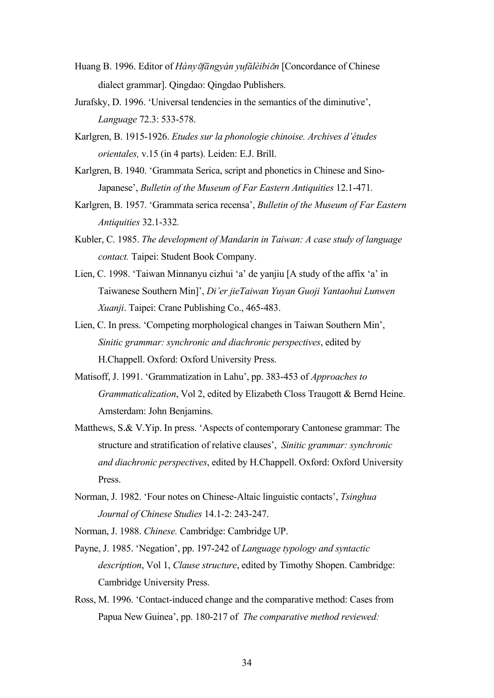- Huang B. 1996. Editor of *Hàny*ǔ*fāngyán yufălèibi*ǎ*n* [Concordance of Chinese dialect grammar]. Qingdao: Qingdao Publishers.
- Jurafsky, D. 1996. 'Universal tendencies in the semantics of the diminutive', *Language* 72.3: 533-578.
- Karlgren, B. 1915-1926. *Etudes sur la phonologie chinoise. Archives d'études orientales,* v.15 (in 4 parts). Leiden: E.J. Brill.
- Karlgren, B. 1940. 'Grammata Serica, script and phonetics in Chinese and Sino-Japanese', *Bulletin of the Museum of Far Eastern Antiquities* 12.1-471*.*
- Karlgren, B. 1957. 'Grammata serica recensa', *Bulletin of the Museum of Far Eastern Antiquities* 32.1-332*.*
- Kubler, C. 1985. *The development of Mandarin in Taiwan: A case study of language contact.* Taipei: Student Book Company.
- Lien, C. 1998. 'Taiwan Minnanyu cizhui 'a' de yanjiu [A study of the affix 'a' in Taiwanese Southern Min]', *Di'er jieTaiwan Yuyan Guoji Yantaohui Lunwen Xuanji*. Taipei: Crane Publishing Co., 465-483.
- Lien, C. In press. 'Competing morphological changes in Taiwan Southern Min', *Sinitic grammar: synchronic and diachronic perspectives*, edited by H.Chappell. Oxford: Oxford University Press.
- Matisoff, J. 1991. 'Grammatization in Lahu', pp. 383-453 of *Approaches to Grammaticalization*, Vol 2, edited by Elizabeth Closs Traugott & Bernd Heine. Amsterdam: John Benjamins.
- Matthews, S.& V.Yip. In press. 'Aspects of contemporary Cantonese grammar: The structure and stratification of relative clauses', *Sinitic grammar: synchronic and diachronic perspectives*, edited by H.Chappell. Oxford: Oxford University Press.
- Norman, J. 1982. 'Four notes on Chinese-Altaic linguistic contacts', *Tsinghua Journal of Chinese Studies* 14.1-2: 243-247.
- Norman, J. 1988. *Chinese.* Cambridge: Cambridge UP.
- Payne, J. 1985. 'Negation', pp. 197-242 of *Language typology and syntactic description*, Vol 1, *Clause structure*, edited by Timothy Shopen. Cambridge: Cambridge University Press.
- Ross, M. 1996. 'Contact-induced change and the comparative method: Cases from Papua New Guinea', pp. 180-217 of *The comparative method reviewed:*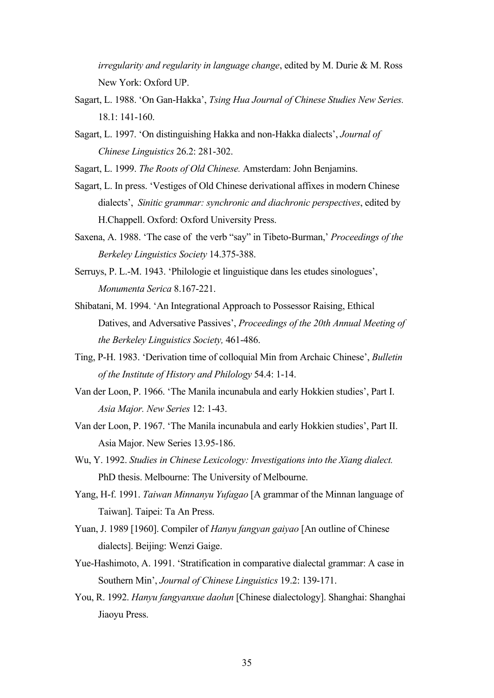*irregularity and regularity in language change*, edited by M. Durie & M. Ross New York: Oxford UP.

- Sagart, L. 1988. 'On Gan-Hakka', *Tsing Hua Journal of Chinese Studies New Series.* 18.1: 141-160.
- Sagart, L. 1997. 'On distinguishing Hakka and non-Hakka dialects', *Journal of Chinese Linguistics* 26.2: 281-302.
- Sagart, L. 1999. *The Roots of Old Chinese.* Amsterdam: John Benjamins.
- Sagart, L. In press. 'Vestiges of Old Chinese derivational affixes in modern Chinese dialects', *Sinitic grammar: synchronic and diachronic perspectives*, edited by H.Chappell. Oxford: Oxford University Press.
- Saxena, A. 1988. 'The case of the verb "say" in Tibeto-Burman,' *Proceedings of the Berkeley Linguistics Society* 14.375-388.
- Serruys, P. L.-M. 1943. 'Philologie et linguistique dans les etudes sinologues', *Monumenta Serica* 8.167-221.
- Shibatani, M. 1994. 'An Integrational Approach to Possessor Raising, Ethical Datives, and Adversative Passives', *Proceedings of the 20th Annual Meeting of the Berkeley Linguistics Society,* 461-486.
- Ting, P-H. 1983. 'Derivation time of colloquial Min from Archaic Chinese', *Bulletin of the Institute of History and Philology* 54.4: 1-14.
- Van der Loon, P. 1966. 'The Manila incunabula and early Hokkien studies', Part I. *Asia Major. New Series* 12: 1-43.
- Van der Loon, P. 1967. 'The Manila incunabula and early Hokkien studies', Part II. Asia Major. New Series 13.95-186.
- Wu, Y. 1992. *Studies in Chinese Lexicology: Investigations into the Xiang dialect.* PhD thesis. Melbourne: The University of Melbourne.
- Yang, H-f. 1991. *Taiwan Minnanyu Yufagao* [A grammar of the Minnan language of Taiwan]. Taipei: Ta An Press.
- Yuan, J. 1989 [1960]. Compiler of *Hanyu fangyan gaiyao* [An outline of Chinese dialects]. Beijing: Wenzi Gaige.
- Yue-Hashimoto, A. 1991. 'Stratification in comparative dialectal grammar: A case in Southern Min', *Journal of Chinese Linguistics* 19.2: 139-171.
- You, R. 1992. *Hanyu fangyanxue daolun* [Chinese dialectology]. Shanghai: Shanghai Jiaoyu Press.